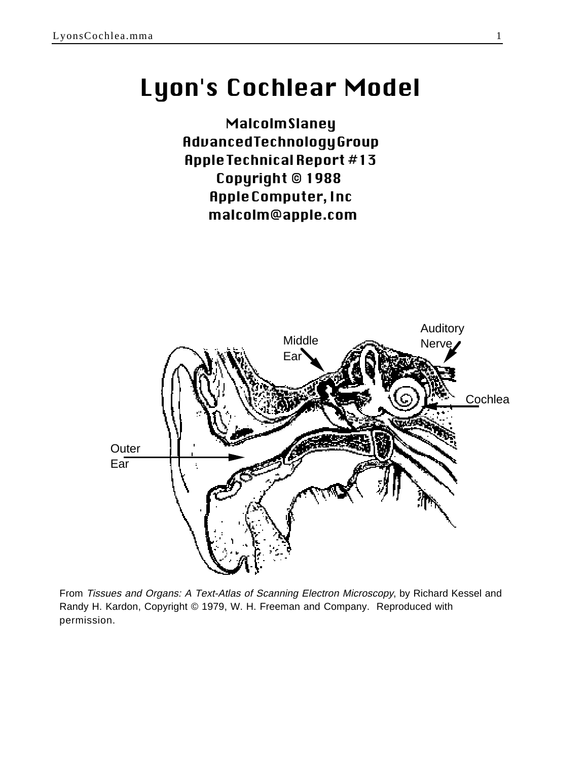# Lyon's Cochlear Model

**Malcolm Slaney** Advanced Technology Group Apple Technical Report #13 Copyright © 1988 Apple Computer, Inc malcolm@apple.com



From Tissues and Organs: A Text-Atlas of Scanning Electron Microscopy, by Richard Kessel and Randy H. Kardon, Copyright © 1979, W. H. Freeman and Company. Reproduced with permission.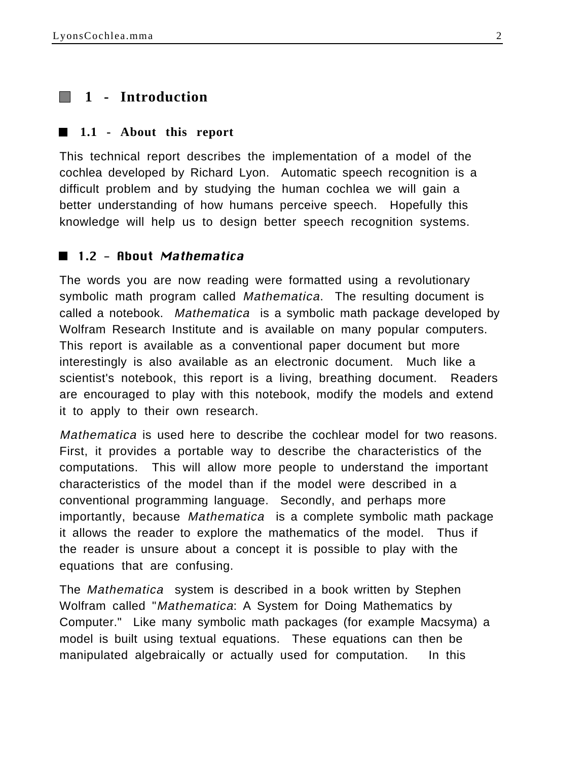# **1 - Introduction**

#### **1.1 - About this report**

This technical report describes the implementation of a model of the cochlea developed by Richard Lyon. Automatic speech recognition is a difficult problem and by studying the human cochlea we will gain a better understanding of how humans perceive speech. Hopefully this knowledge will help us to design better speech recognition systems.

## ■ 1.2 - About Mathematica

The words you are now reading were formatted using a revolutionary symbolic math program called *Mathematica*. The resulting document is called a notebook. Mathematica is a symbolic math package developed by Wolfram Research Institute and is available on many popular computers. This report is available as a conventional paper document but more interestingly is also available as an electronic document. Much like a scientist's notebook, this report is a living, breathing document. Readers are encouraged to play with this notebook, modify the models and extend it to apply to their own research.

Mathematica is used here to describe the cochlear model for two reasons. First, it provides a portable way to describe the characteristics of the computations. This will allow more people to understand the important characteristics of the model than if the model were described in a conventional programming language. Secondly, and perhaps more importantly, because Mathematica is a complete symbolic math package it allows the reader to explore the mathematics of the model. Thus if the reader is unsure about a concept it is possible to play with the equations that are confusing.

The Mathematica system is described in a book written by Stephen Wolfram called "Mathematica: A System for Doing Mathematics by Computer." Like many symbolic math packages (for example Macsyma) a model is built using textual equations. These equations can then be manipulated algebraically or actually used for computation. In this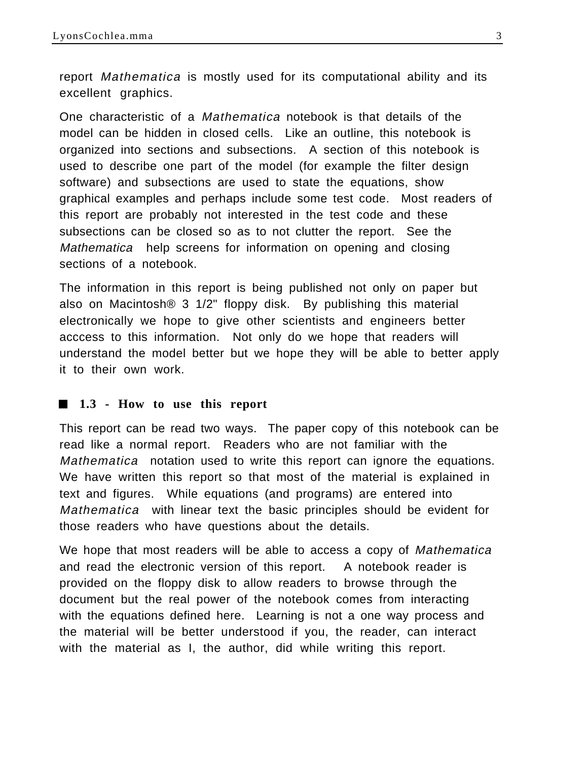report Mathematica is mostly used for its computational ability and its excellent graphics.

One characteristic of a Mathematica notebook is that details of the model can be hidden in closed cells. Like an outline, this notebook is organized into sections and subsections. A section of this notebook is used to describe one part of the model (for example the filter design software) and subsections are used to state the equations, show graphical examples and perhaps include some test code. Most readers of this report are probably not interested in the test code and these subsections can be closed so as to not clutter the report. See the Mathematica help screens for information on opening and closing sections of a notebook.

The information in this report is being published not only on paper but also on Macintosh® 3 1/2" floppy disk. By publishing this material electronically we hope to give other scientists and engineers better acccess to this information. Not only do we hope that readers will understand the model better but we hope they will be able to better apply it to their own work.

#### **1.3 - How to use this report**

This report can be read two ways. The paper copy of this notebook can be read like a normal report. Readers who are not familiar with the Mathematica notation used to write this report can ignore the equations. We have written this report so that most of the material is explained in text and figures. While equations (and programs) are entered into Mathematica with linear text the basic principles should be evident for those readers who have questions about the details.

We hope that most readers will be able to access a copy of Mathematica and read the electronic version of this report. A notebook reader is provided on the floppy disk to allow readers to browse through the document but the real power of the notebook comes from interacting with the equations defined here. Learning is not a one way process and the material will be better understood if you, the reader, can interact with the material as I, the author, did while writing this report.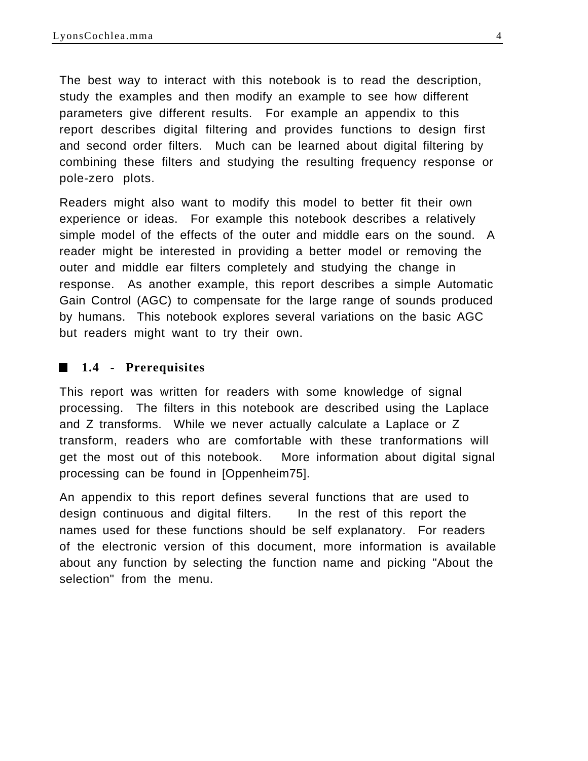The best way to interact with this notebook is to read the description, study the examples and then modify an example to see how different parameters give different results. For example an appendix to this report describes digital filtering and provides functions to design first and second order filters. Much can be learned about digital filtering by combining these filters and studying the resulting frequency response or pole-zero plots.

Readers might also want to modify this model to better fit their own experience or ideas. For example this notebook describes a relatively simple model of the effects of the outer and middle ears on the sound. A reader might be interested in providing a better model or removing the outer and middle ear filters completely and studying the change in response. As another example, this report describes a simple Automatic Gain Control (AGC) to compensate for the large range of sounds produced by humans. This notebook explores several variations on the basic AGC but readers might want to try their own.

#### **1.4 - Prerequisites**

This report was written for readers with some knowledge of signal processing. The filters in this notebook are described using the Laplace and Z transforms. While we never actually calculate a Laplace or Z transform, readers who are comfortable with these tranformations will get the most out of this notebook. More information about digital signal processing can be found in [Oppenheim75].

An appendix to this report defines several functions that are used to design continuous and digital filters. In the rest of this report the names used for these functions should be self explanatory. For readers of the electronic version of this document, more information is available about any function by selecting the function name and picking "About the selection" from the menu.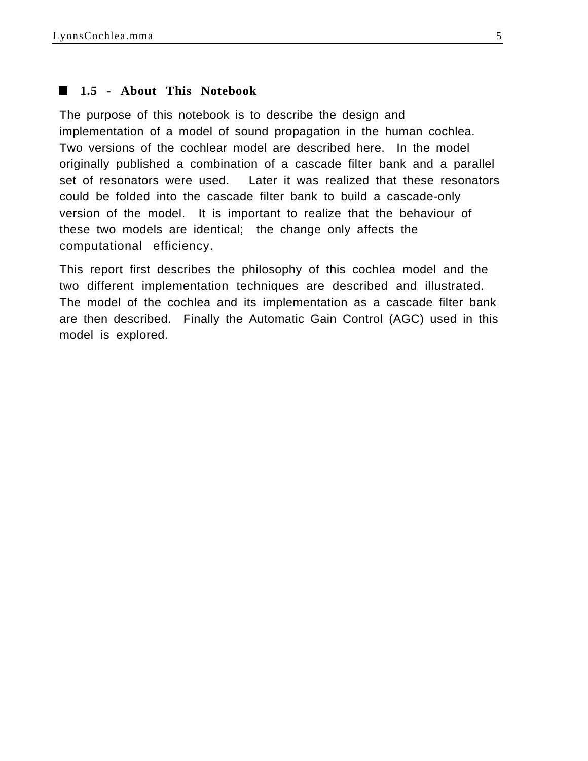#### **1.5 - About This Notebook**

The purpose of this notebook is to describe the design and implementation of a model of sound propagation in the human cochlea. Two versions of the cochlear model are described here. In the model originally published a combination of a cascade filter bank and a parallel set of resonators were used. Later it was realized that these resonators could be folded into the cascade filter bank to build a cascade-only version of the model. It is important to realize that the behaviour of these two models are identical; the change only affects the computational efficiency.

This report first describes the philosophy of this cochlea model and the two different implementation techniques are described and illustrated. The model of the cochlea and its implementation as a cascade filter bank are then described. Finally the Automatic Gain Control (AGC) used in this model is explored.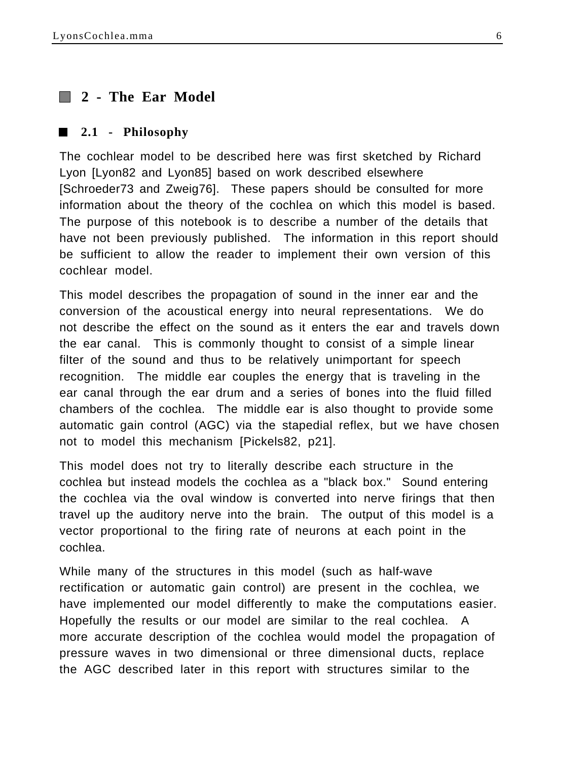# **2 - The Ear Model**

#### **2.1 - Philosophy**

The cochlear model to be described here was first sketched by Richard Lyon [Lyon82 and Lyon85] based on work described elsewhere [Schroeder73 and Zweig76]. These papers should be consulted for more information about the theory of the cochlea on which this model is based. The purpose of this notebook is to describe a number of the details that have not been previously published. The information in this report should be sufficient to allow the reader to implement their own version of this cochlear model.

This model describes the propagation of sound in the inner ear and the conversion of the acoustical energy into neural representations. We do not describe the effect on the sound as it enters the ear and travels down the ear canal. This is commonly thought to consist of a simple linear filter of the sound and thus to be relatively unimportant for speech recognition. The middle ear couples the energy that is traveling in the ear canal through the ear drum and a series of bones into the fluid filled chambers of the cochlea. The middle ear is also thought to provide some automatic gain control (AGC) via the stapedial reflex, but we have chosen not to model this mechanism [Pickels82, p21].

This model does not try to literally describe each structure in the cochlea but instead models the cochlea as a "black box." Sound entering the cochlea via the oval window is converted into nerve firings that then travel up the auditory nerve into the brain. The output of this model is a vector proportional to the firing rate of neurons at each point in the cochlea.

While many of the structures in this model (such as half-wave rectification or automatic gain control) are present in the cochlea, we have implemented our model differently to make the computations easier. Hopefully the results or our model are similar to the real cochlea. A more accurate description of the cochlea would model the propagation of pressure waves in two dimensional or three dimensional ducts, replace the AGC described later in this report with structures similar to the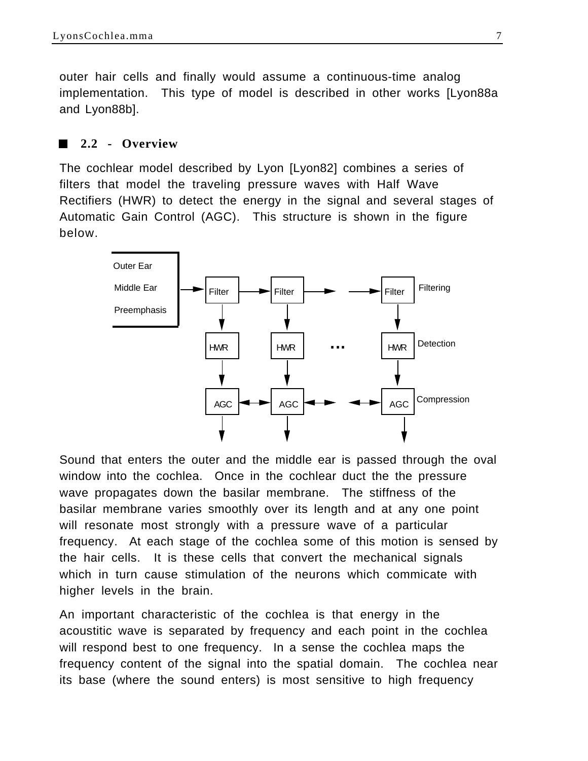outer hair cells and finally would assume a continuous-time analog implementation. This type of model is described in other works [Lyon88a and Lyon88b].

#### **2.2 - Overview**

The cochlear model described by Lyon [Lyon82] combines a series of filters that model the traveling pressure waves with Half Wave Rectifiers (HWR) to detect the energy in the signal and several stages of Automatic Gain Control (AGC). This structure is shown in the figure below.



Sound that enters the outer and the middle ear is passed through the oval window into the cochlea. Once in the cochlear duct the the pressure wave propagates down the basilar membrane. The stiffness of the basilar membrane varies smoothly over its length and at any one point will resonate most strongly with a pressure wave of a particular frequency. At each stage of the cochlea some of this motion is sensed by the hair cells. It is these cells that convert the mechanical signals which in turn cause stimulation of the neurons which commicate with higher levels in the brain.

An important characteristic of the cochlea is that energy in the acoustitic wave is separated by frequency and each point in the cochlea will respond best to one frequency. In a sense the cochlea maps the frequency content of the signal into the spatial domain. The cochlea near its base (where the sound enters) is most sensitive to high frequency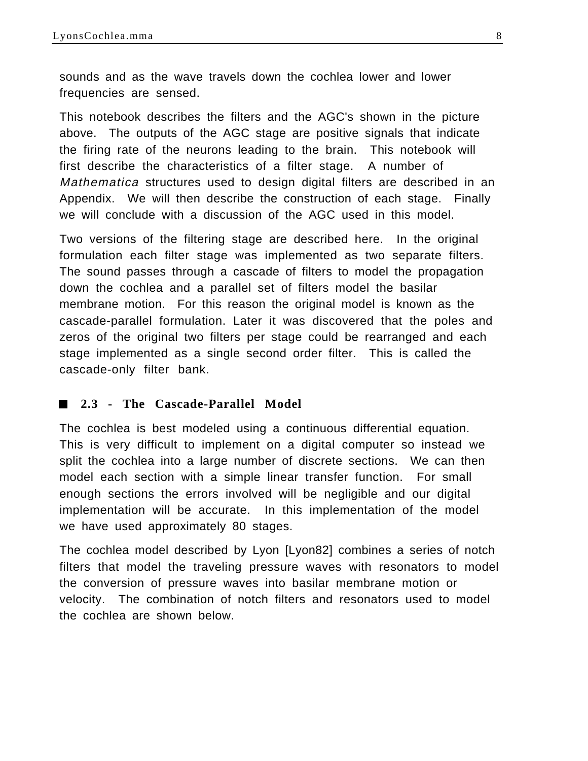sounds and as the wave travels down the cochlea lower and lower frequencies are sensed.

This notebook describes the filters and the AGC's shown in the picture above. The outputs of the AGC stage are positive signals that indicate the firing rate of the neurons leading to the brain. This notebook will first describe the characteristics of a filter stage. A number of Mathematica structures used to design digital filters are described in an Appendix. We will then describe the construction of each stage. Finally we will conclude with a discussion of the AGC used in this model.

Two versions of the filtering stage are described here. In the original formulation each filter stage was implemented as two separate filters. The sound passes through a cascade of filters to model the propagation down the cochlea and a parallel set of filters model the basilar membrane motion. For this reason the original model is known as the cascade-parallel formulation. Later it was discovered that the poles and zeros of the original two filters per stage could be rearranged and each stage implemented as a single second order filter. This is called the cascade-only filter bank.

#### **2.3 - The Cascade-Parallel Model The Co**

The cochlea is best modeled using a continuous differential equation. This is very difficult to implement on a digital computer so instead we split the cochlea into a large number of discrete sections. We can then model each section with a simple linear transfer function. For small enough sections the errors involved will be negligible and our digital implementation will be accurate. In this implementation of the model we have used approximately 80 stages.

The cochlea model described by Lyon [Lyon82] combines a series of notch filters that model the traveling pressure waves with resonators to model the conversion of pressure waves into basilar membrane motion or velocity. The combination of notch filters and resonators used to model the cochlea are shown below.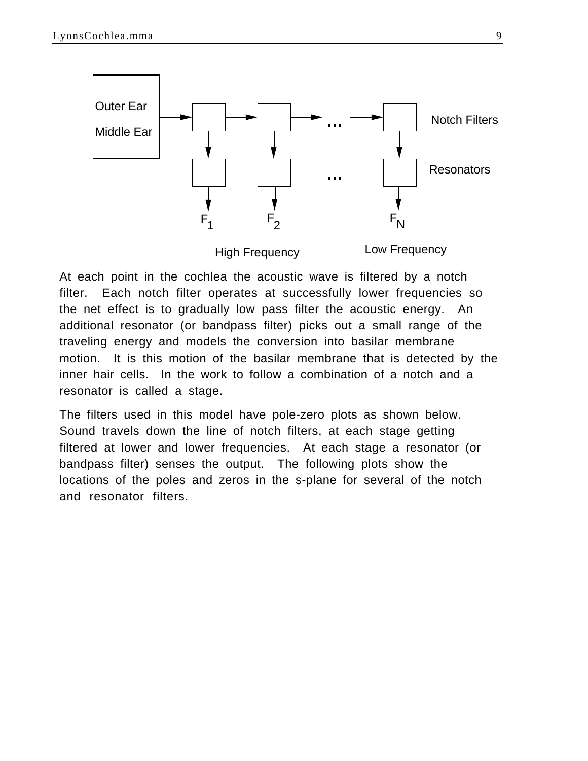

At each point in the cochlea the acoustic wave is filtered by a notch filter. Each notch filter operates at successfully lower frequencies so the net effect is to gradually low pass filter the acoustic energy. An additional resonator (or bandpass filter) picks out a small range of the traveling energy and models the conversion into basilar membrane motion. It is this motion of the basilar membrane that is detected by the inner hair cells. In the work to follow a combination of a notch and a resonator is called a stage.

The filters used in this model have pole-zero plots as shown below. Sound travels down the line of notch filters, at each stage getting filtered at lower and lower frequencies. At each stage a resonator (or bandpass filter) senses the output. The following plots show the locations of the poles and zeros in the s-plane for several of the notch and resonator filters.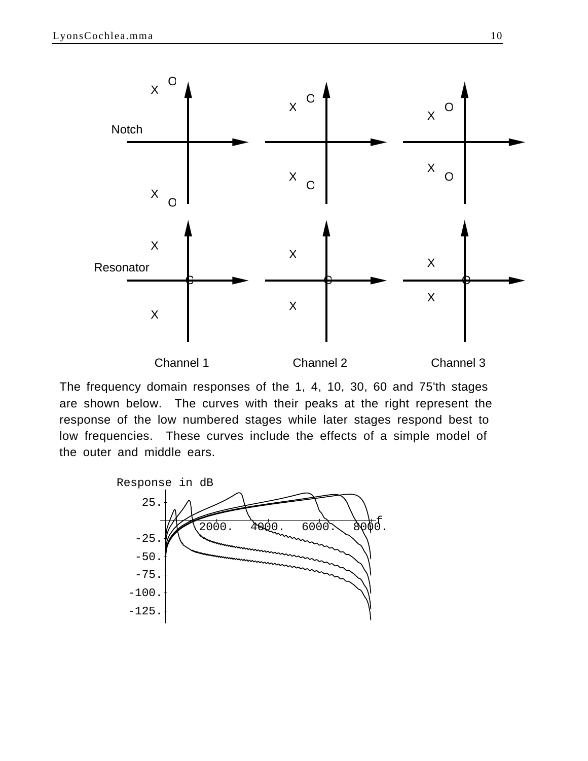

The frequency domain responses of the 1, 4, 10, 30, 60 and 75'th stages are shown below. The curves with their peaks at the right represent the response of the low numbered stages while later stages respond best to low frequencies. These curves include the effects of a simple model of the outer and middle ears.

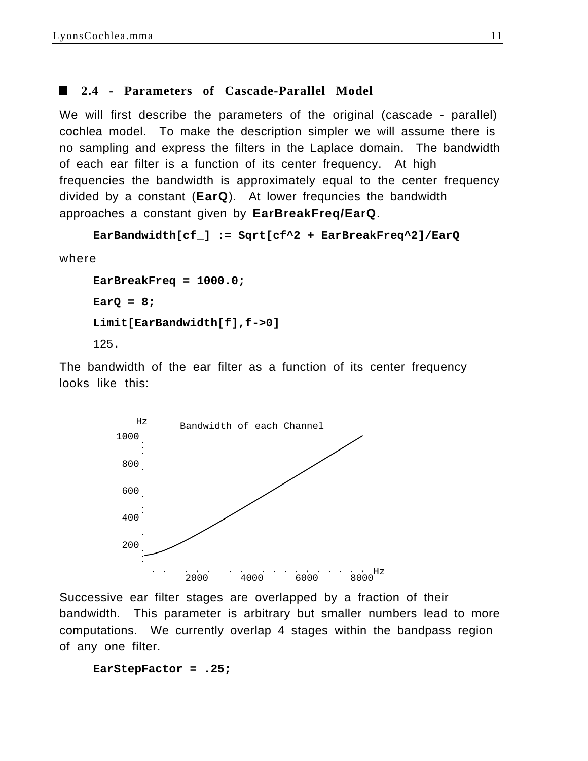#### **2.4 - Parameters of Cascade-Parallel Model**

We will first describe the parameters of the original (cascade - parallel) cochlea model. To make the description simpler we will assume there is no sampling and express the filters in the Laplace domain. The bandwidth of each ear filter is a function of its center frequency. At high frequencies the bandwidth is approximately equal to the center frequency divided by a constant (**EarQ**). At lower frequncies the bandwidth approaches a constant given by **EarBreakFreq/EarQ**.

```
EarBandwidth[cf_] := Sqrt[cf^2 + EarBreakFreq^2]/EarQ
```
where

```
EarBreakFreq = 1000.0;
EarQ = 8;
Limit[EarBandwidth[f],f->0]
125.
```
The bandwidth of the ear filter as a function of its center frequency looks like this:



Successive ear filter stages are overlapped by a fraction of their bandwidth. This parameter is arbitrary but smaller numbers lead to more computations. We currently overlap 4 stages within the bandpass region of any one filter.

```
EarStepFactor = .25;
```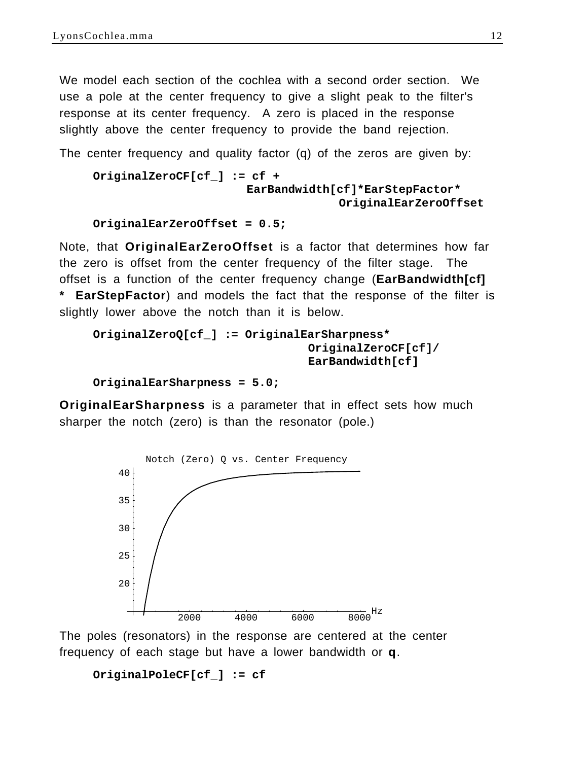We model each section of the cochlea with a second order section. We use a pole at the center frequency to give a slight peak to the filter's response at its center frequency. A zero is placed in the response slightly above the center frequency to provide the band rejection.

The center frequency and quality factor (q) of the zeros are given by:

```
OriginalZeroCF[cf_] := cf + 
                       EarBandwidth[cf]*EarStepFactor*
                                    OriginalEarZeroOffset
```

```
OriginalEarZeroOffset = 0.5;
```
Note, that **OriginalEarZeroOffset** is a factor that determines how far the zero is offset from the center frequency of the filter stage. The offset is a function of the center frequency change (**EarBandwidth[cf] \* EarStepFactor**) and models the fact that the response of the filter is slightly lower above the notch than it is below.

```
OriginalZeroQ[cf_] := OriginalEarSharpness*
                               OriginalZeroCF[cf]/
                               EarBandwidth[cf]
```

```
OriginalEarSharpness = 5.0;
```
**OriginalEarSharpness** is a parameter that in effect sets how much sharper the notch (zero) is than the resonator (pole.)



The poles (resonators) in the response are centered at the center frequency of each stage but have a lower bandwidth or **q**.

```
OriginalPoleCF[cf_] := cf
```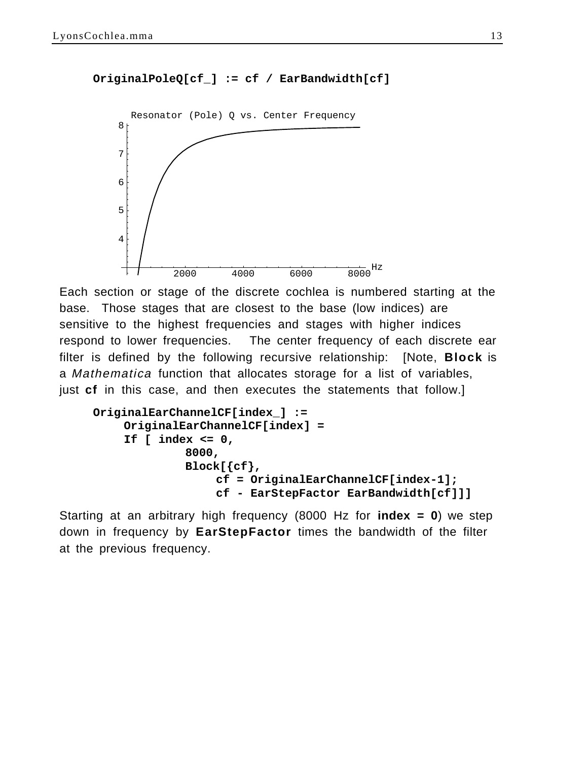```
OriginalPoleQ[cf_] := cf / EarBandwidth[cf]
```


Each section or stage of the discrete cochlea is numbered starting at the base. Those stages that are closest to the base (low indices) are sensitive to the highest frequencies and stages with higher indices respond to lower frequencies. The center frequency of each discrete ear filter is defined by the following recursive relationship: [Note, **Block** is a Mathematica function that allocates storage for a list of variables, just **cf** in this case, and then executes the statements that follow.]

```
OriginalEarChannelCF[index_] :=
    OriginalEarChannelCF[index] = 
    If [ index <= 0, 
              8000,
             Block[{cf},
                  cf = OriginalEarChannelCF[index-1];
                  cf - EarStepFactor EarBandwidth[cf]]]
```
Starting at an arbitrary high frequency (8000 Hz for **index = 0**) we step down in frequency by **EarStepFactor** times the bandwidth of the filter at the previous frequency.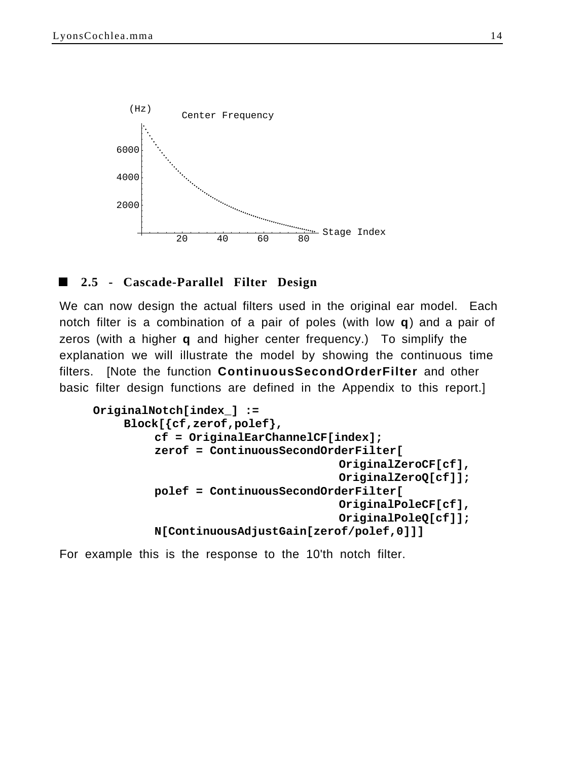

## **2.5 - Cascade-Parallel Filter Design**

We can now design the actual filters used in the original ear model. Each notch filter is a combination of a pair of poles (with low **q**) and a pair of zeros (with a higher **q** and higher center frequency.) To simplify the explanation we will illustrate the model by showing the continuous time filters. [Note the function **ContinuousSecondOrderFilter** and other basic filter design functions are defined in the Appendix to this report.]

```
OriginalNotch[index_] :=
    Block[{cf,zerof,polef},
         cf = OriginalEarChannelCF[index];
         zerof = ContinuousSecondOrderFilter[
                                    OriginalZeroCF[cf],
                                    OriginalZeroQ[cf]];
         polef = ContinuousSecondOrderFilter[
                                    OriginalPoleCF[cf],
                                    OriginalPoleQ[cf]];
         N[ContinuousAdjustGain[zerof/polef,0]]]
```
For example this is the response to the 10'th notch filter.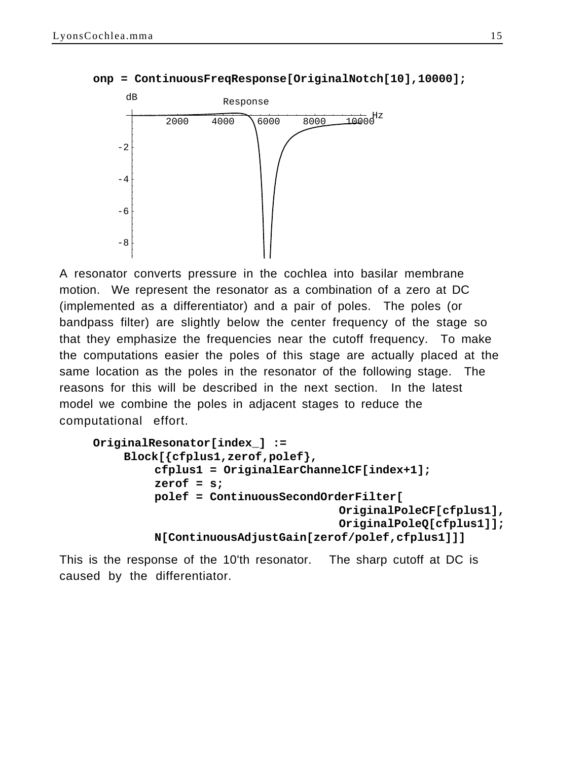

**onp = ContinuousFreqResponse[OriginalNotch[10],10000];**

A resonator converts pressure in the cochlea into basilar membrane motion. We represent the resonator as a combination of a zero at DC (implemented as a differentiator) and a pair of poles. The poles (or bandpass filter) are slightly below the center frequency of the stage so that they emphasize the frequencies near the cutoff frequency. To make the computations easier the poles of this stage are actually placed at the same location as the poles in the resonator of the following stage. The reasons for this will be described in the next section. In the latest model we combine the poles in adjacent stages to reduce the computational effort.

```
OriginalResonator[index_] :=
    Block[{cfplus1,zerof,polef},
         cfplus1 = OriginalEarChannelCF[index+1];
         zerof = s;
         polef = ContinuousSecondOrderFilter[
                                    OriginalPoleCF[cfplus1],
                                    OriginalPoleQ[cfplus1]];
         N[ContinuousAdjustGain[zerof/polef,cfplus1]]]
```
This is the response of the 10'th resonator. The sharp cutoff at DC is caused by the differentiator.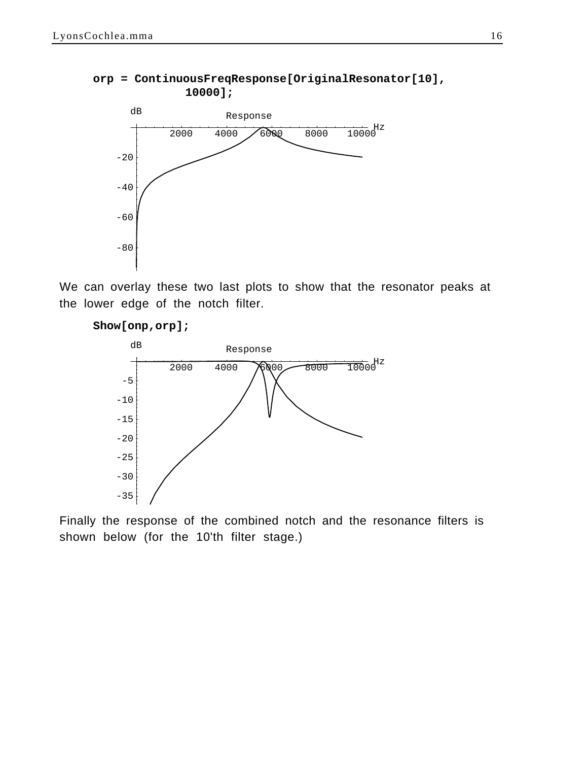#### **orp = ContinuousFreqResponse[OriginalResonator[10], 10000];**



We can overlay these two last plots to show that the resonator peaks at the lower edge of the notch filter.

#### **Show[onp,orp];**



Finally the response of the combined notch and the resonance filters is shown below (for the 10'th filter stage.)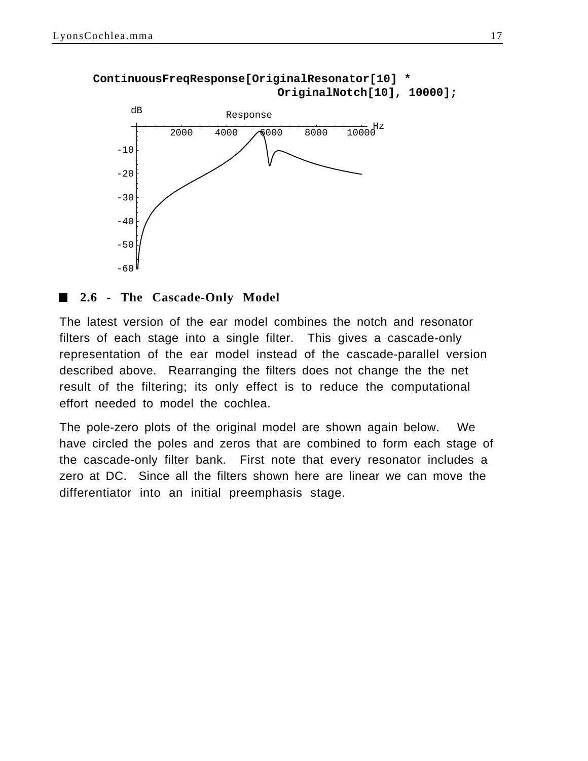

#### **ContinuousFreqResponse[OriginalResonator[10] \* OriginalNotch[10], 10000];**

## **2.6 - The Cascade-Only Model**

The latest version of the ear model combines the notch and resonator filters of each stage into a single filter. This gives a cascade-only representation of the ear model instead of the cascade-parallel version described above. Rearranging the filters does not change the the net result of the filtering; its only effect is to reduce the computational effort needed to model the cochlea.

The pole-zero plots of the original model are shown again below. We have circled the poles and zeros that are combined to form each stage of the cascade-only filter bank. First note that every resonator includes a zero at DC. Since all the filters shown here are linear we can move the differentiator into an initial preemphasis stage.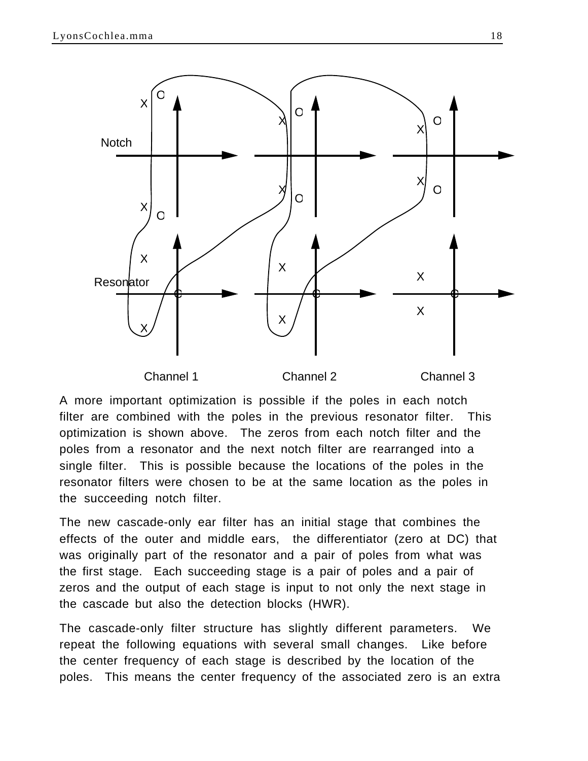

A more important optimization is possible if the poles in each notch filter are combined with the poles in the previous resonator filter. This optimization is shown above. The zeros from each notch filter and the poles from a resonator and the next notch filter are rearranged into a single filter. This is possible because the locations of the poles in the resonator filters were chosen to be at the same location as the poles in the succeeding notch filter.

The new cascade-only ear filter has an initial stage that combines the effects of the outer and middle ears, the differentiator (zero at DC) that was originally part of the resonator and a pair of poles from what was the first stage. Each succeeding stage is a pair of poles and a pair of zeros and the output of each stage is input to not only the next stage in the cascade but also the detection blocks (HWR).

The cascade-only filter structure has slightly different parameters. We repeat the following equations with several small changes. Like before the center frequency of each stage is described by the location of the poles. This means the center frequency of the associated zero is an extra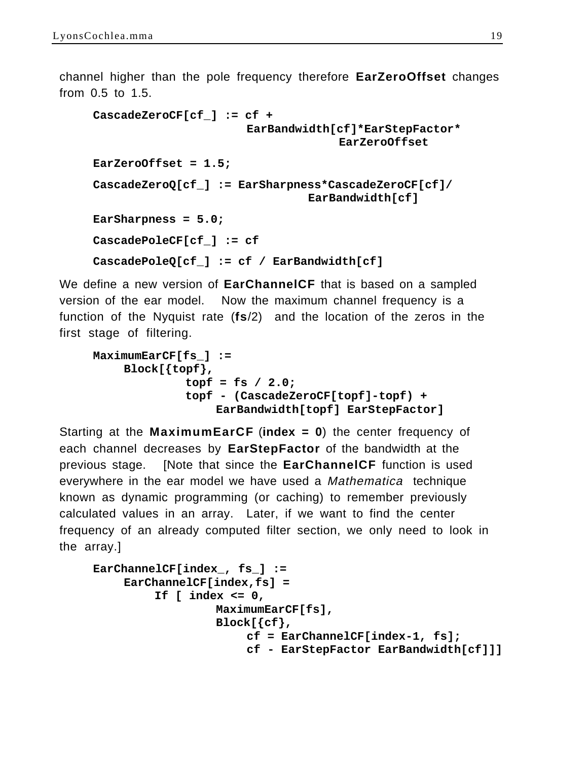channel higher than the pole frequency therefore **EarZeroOffset** changes from 0.5 to 1.5.

```
CascadeZeroCF[cf_] := cf + 
                      EarBandwidth[cf]*EarStepFactor*
                                    EarZeroOffset
EarZeroOffset = 1.5;
CascadeZeroQ[cf_] := EarSharpness*CascadeZeroCF[cf]/
                               EarBandwidth[cf]
EarSharpness = 5.0;
CascadePoleCF[cf_] := cf
CascadePoleQ[cf_] := cf / EarBandwidth[cf]
```
We define a new version of **EarChannelCF** that is based on a sampled version of the ear model. Now the maximum channel frequency is a function of the Nyquist rate (**fs**/2) and the location of the zeros in the first stage of filtering.

```
MaximumEarCF[fs_] :=
    Block[{topf},
             topf = fs / 2.0;
             topf - (CascadeZeroCF[topf]-topf) +
                  EarBandwidth[topf] EarStepFactor]
```
Starting at the **MaximumEarCF** (**index = 0**) the center frequency of each channel decreases by **EarStepFactor** of the bandwidth at the previous stage. [Note that since the **EarChannelCF** function is used everywhere in the ear model we have used a Mathematica technique known as dynamic programming (or caching) to remember previously calculated values in an array. Later, if we want to find the center frequency of an already computed filter section, we only need to look in the array.]

```
EarChannelCF[index_, fs_] :=
    EarChannelCF[index,fs] = 
         If [ index <= 0, 
                   MaximumEarCF[fs],
                  Block[{cf},
                       cf = EarChannelCF[index-1, fs];
                       cf - EarStepFactor EarBandwidth[cf]]]
```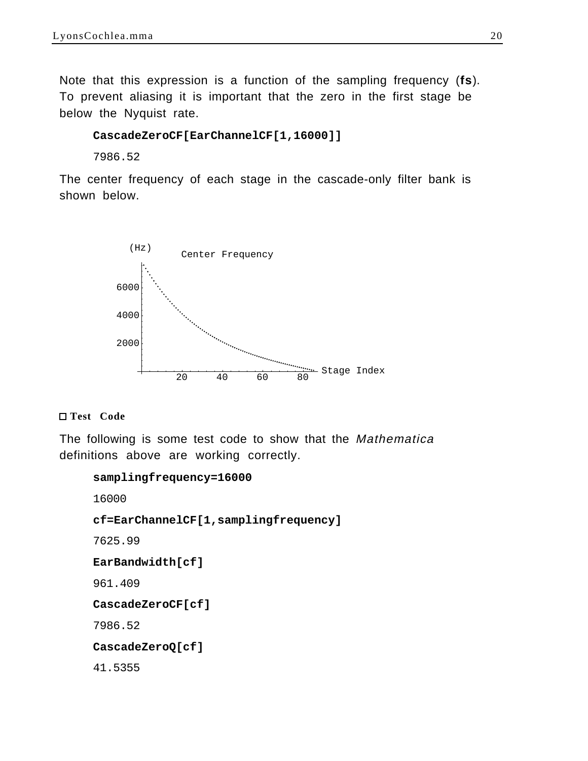Note that this expression is a function of the sampling frequency (**fs**). To prevent aliasing it is important that the zero in the first stage be below the Nyquist rate.

#### **CascadeZeroCF[EarChannelCF[1,16000]]**

7986.52

The center frequency of each stage in the cascade-only filter bank is shown below.



#### **Test Code**

The following is some test code to show that the *Mathematica* definitions above are working correctly.

#### **samplingfrequency=16000**

16000

**cf=EarChannelCF[1,samplingfrequency]**

7625.99

#### **EarBandwidth[cf]**

961.409

**CascadeZeroCF[cf]**

7986.52

**CascadeZeroQ[cf]**

41.5355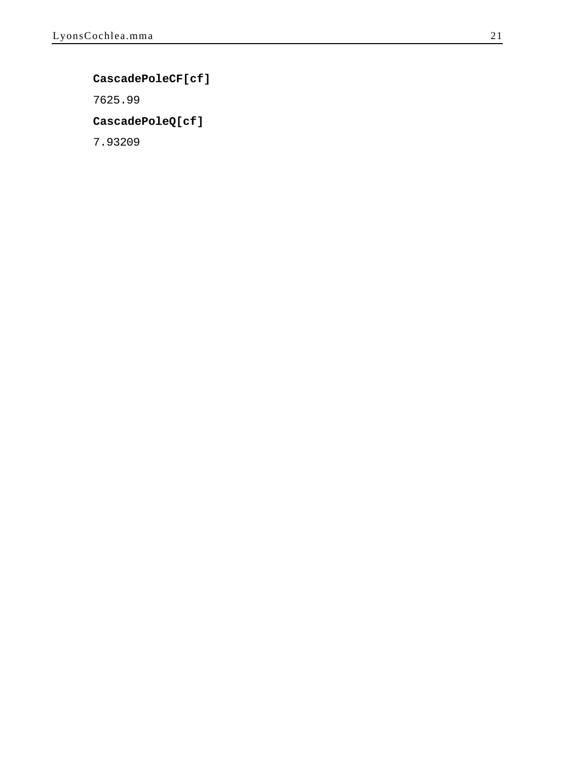#### **CascadePoleCF[cf]**

7625.99

#### **CascadePoleQ[cf]**

7.93209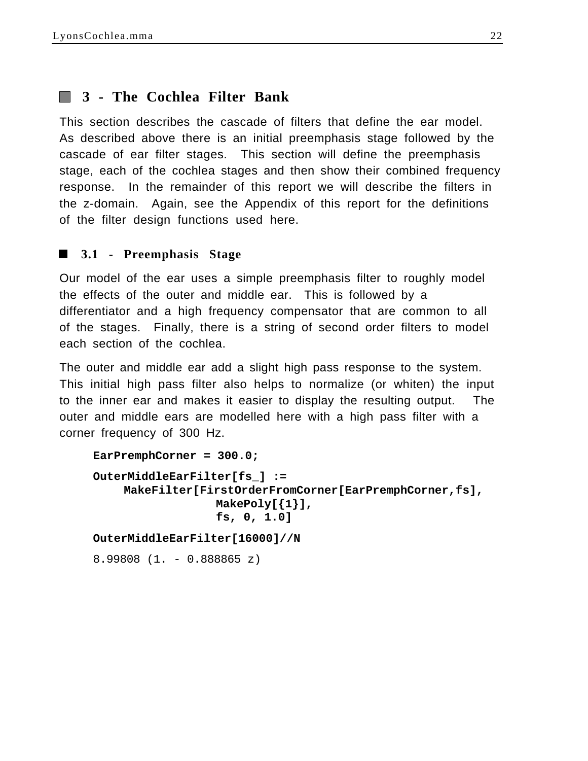# **3 - The Cochlea Filter Bank**

This section describes the cascade of filters that define the ear model. As described above there is an initial preemphasis stage followed by the cascade of ear filter stages. This section will define the preemphasis stage, each of the cochlea stages and then show their combined frequency response. In the remainder of this report we will describe the filters in the z-domain. Again, see the Appendix of this report for the definitions of the filter design functions used here.

## **3.1 - Preemphasis Stage**

Our model of the ear uses a simple preemphasis filter to roughly model the effects of the outer and middle ear. This is followed by a differentiator and a high frequency compensator that are common to all of the stages. Finally, there is a string of second order filters to model each section of the cochlea.

The outer and middle ear add a slight high pass response to the system. This initial high pass filter also helps to normalize (or whiten) the input to the inner ear and makes it easier to display the resulting output. The outer and middle ears are modelled here with a high pass filter with a corner frequency of 300 Hz.

```
EarPremphCorner = 300.0;
OuterMiddleEarFilter[fs_] := 
    MakeFilter[FirstOrderFromCorner[EarPremphCorner,fs],
                  MakePoly[{1}], 
                  fs, 0, 1.0]
OuterMiddleEarFilter[16000]//N
8.99808 (1. - 0.888865 z)
```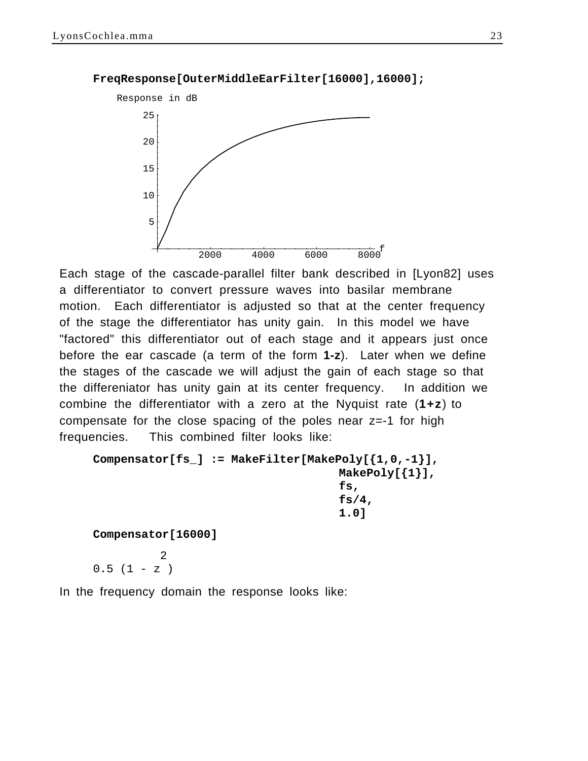

**FreqResponse[OuterMiddleEarFilter[16000],16000];**

Each stage of the cascade-parallel filter bank described in [Lyon82] uses a differentiator to convert pressure waves into basilar membrane motion. Each differentiator is adjusted so that at the center frequency of the stage the differentiator has unity gain. In this model we have "factored" this differentiator out of each stage and it appears just once before the ear cascade (a term of the form **1-z**). Later when we define the stages of the cascade we will adjust the gain of each stage so that the differeniator has unity gain at its center frequency. In addition we combine the differentiator with a zero at the Nyquist rate (**1+z**) to compensate for the close spacing of the poles near z=-1 for high frequencies. This combined filter looks like:

```
Compensator[fs_] := MakeFilter[MakePoly[{1,0,-1}],
                                     MakePoly[{1}],
                                     fs,
                                     fs/4,
                                     1.0]
```
**Compensator[16000]**

 2  $0.5$   $(1 - z)$ 

In the frequency domain the response looks like: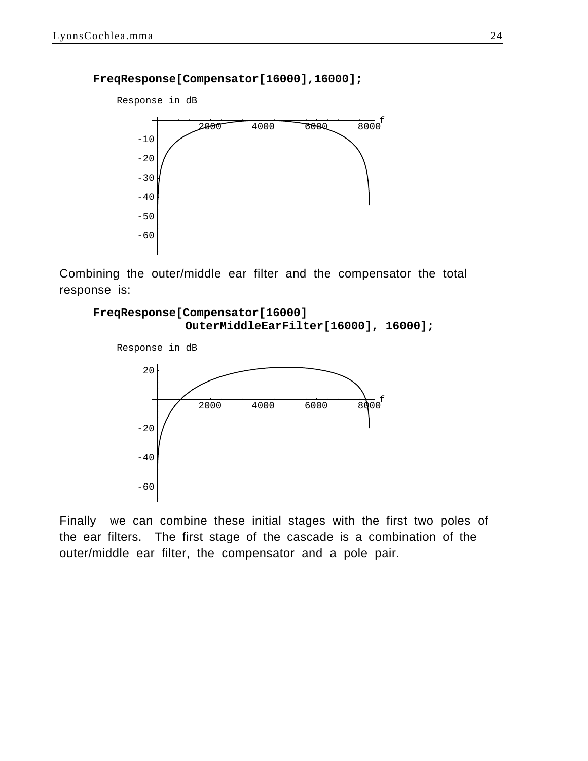#### **FreqResponse[Compensator[16000],16000];**



Combining the outer/middle ear filter and the compensator the total response is:





Finally we can combine these initial stages with the first two poles of the ear filters. The first stage of the cascade is a combination of the outer/middle ear filter, the compensator and a pole pair.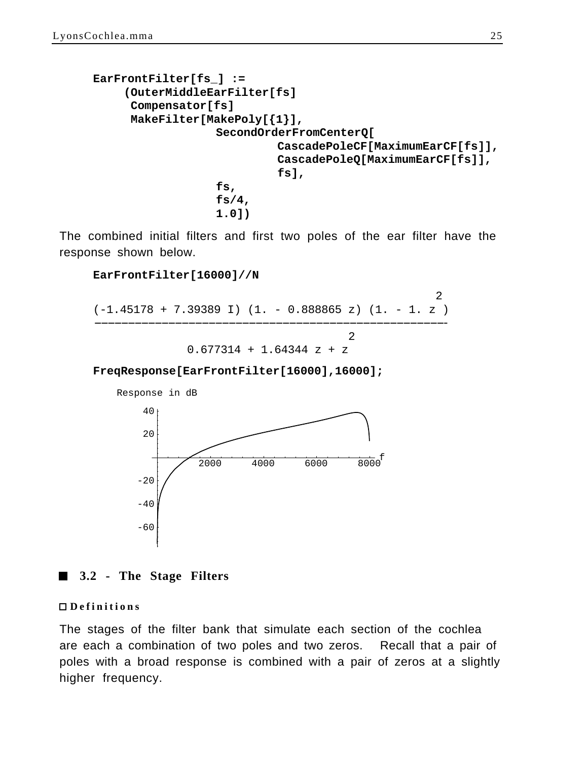```
EarFrontFilter[fs_] :=
    (OuterMiddleEarFilter[fs]
      Compensator[fs]
      MakeFilter[MakePoly[{1}],
                  SecondOrderFromCenterQ[
                            CascadePoleCF[MaximumEarCF[fs]],
                            CascadePoleQ[MaximumEarCF[fs]],
                            fs],
                  fs,
                  fs/4,
                  1.0])
```
The combined initial filters and first two poles of the ear filter have the response shown below.

#### **EarFrontFilter[16000]//N**

 2 (-1.45178 + 7.39389 I) (1. - 0.888865 z) (1. - 1. z ) ----------------------------------------------------- ---------------------------------------------------- 2  $0.677314 + 1.64344 z + z$ 

**FreqResponse[EarFrontFilter[16000],16000];**



#### **3.2 - The Stage Filters** E

#### **Definitions**

The stages of the filter bank that simulate each section of the cochlea are each a combination of two poles and two zeros. Recall that a pair of poles with a broad response is combined with a pair of zeros at a slightly higher frequency.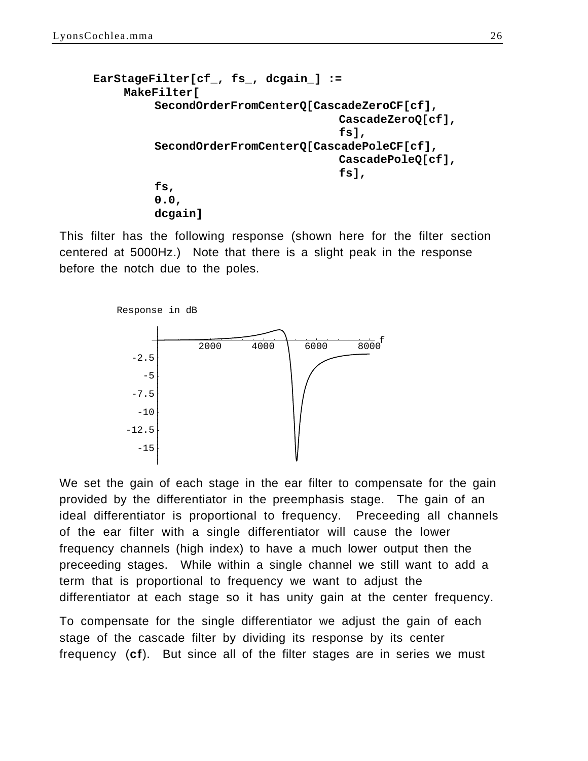```
EarStageFilter[cf_, fs_, dcgain_] :=
    MakeFilter[
         SecondOrderFromCenterQ[CascadeZeroCF[cf],
                                     CascadeZeroQ[cf],
                                     fs],
         SecondOrderFromCenterQ[CascadePoleCF[cf],
                                     CascadePoleQ[cf],
                                     fs],
         fs,
         0.0,
         dcgain]
```
This filter has the following response (shown here for the filter section centered at 5000Hz.) Note that there is a slight peak in the response before the notch due to the poles.



We set the gain of each stage in the ear filter to compensate for the gain provided by the differentiator in the preemphasis stage. The gain of an ideal differentiator is proportional to frequency. Preceeding all channels of the ear filter with a single differentiator will cause the lower frequency channels (high index) to have a much lower output then the preceeding stages. While within a single channel we still want to add a term that is proportional to frequency we want to adjust the differentiator at each stage so it has unity gain at the center frequency.

To compensate for the single differentiator we adjust the gain of each stage of the cascade filter by dividing its response by its center frequency (**cf**). But since all of the filter stages are in series we must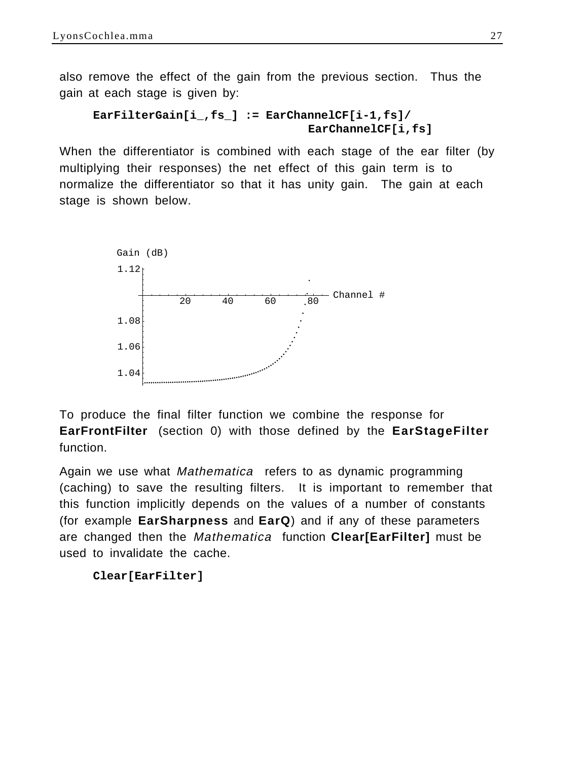also remove the effect of the gain from the previous section. Thus the gain at each stage is given by:

```
EarFilterGain[i_,fs_] := EarChannelCF[i-1,fs]/
                               EarChannelCF[i,fs]
```
When the differentiator is combined with each stage of the ear filter (by multiplying their responses) the net effect of this gain term is to normalize the differentiator so that it has unity gain. The gain at each stage is shown below.



To produce the final filter function we combine the response for **EarFrontFilter** (section 0) with those defined by the **EarStageFilter** function.

Again we use what Mathematica refers to as dynamic programming (caching) to save the resulting filters. It is important to remember that this function implicitly depends on the values of a number of constants (for example **EarSharpness** and **EarQ**) and if any of these parameters are changed then the Mathematica function **Clear[EarFilter]** must be used to invalidate the cache.

```
Clear[EarFilter]
```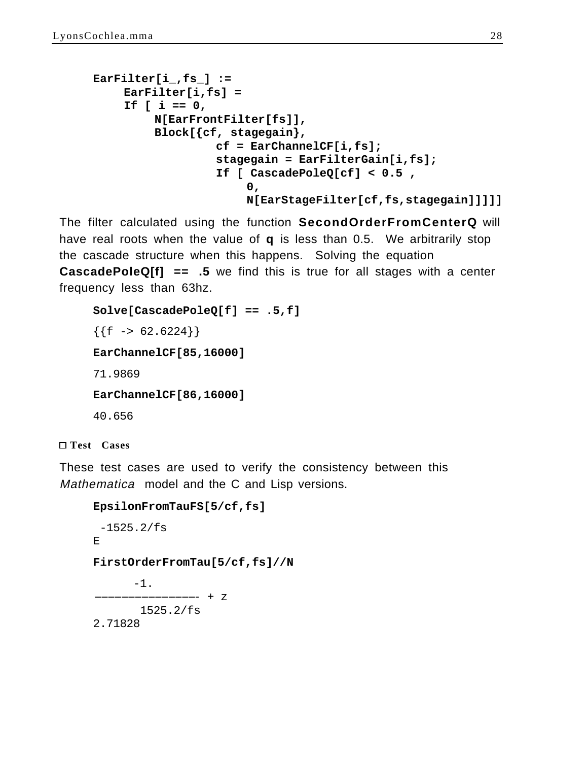```
EarFilter[i_,fs_] :=
    EarFilter[i,fs] = 
    If [ i == 0,
         N[EarFrontFilter[fs]],
         Block[{cf, stagegain},
                  cf = EarChannelCF[i,fs];
                  stagegain = EarFilterGain[i,fs];
                  If [ CascadePoleQ[cf] < 0.5 ,
                       0,
                       N[EarStageFilter[cf,fs,stagegain]]]]]
```
The filter calculated using the function **SecondOrderFromCenterQ** will have real roots when the value of **q** is less than 0.5. We arbitrarily stop the cascade structure when this happens. Solving the equation **CascadePoleQ[f] == .5** we find this is true for all stages with a center frequency less than 63hz.

```
Solve[CascadePoleQ[f] == .5,f]
{f f \rightarrow 62.6224}EarChannelCF[85,16000]
71.9869
EarChannelCF[86,16000]
40.656
```
**Test Cases**

These test cases are used to verify the consistency between this Mathematica model and the C and Lisp versions.

```
EpsilonFromTauFS[5/cf,fs]
 -1525.2/fsE
FirstOrderFromTau[5/cf,fs]//N
       -1.
            - + z
        1525.2/fs
2.71828
```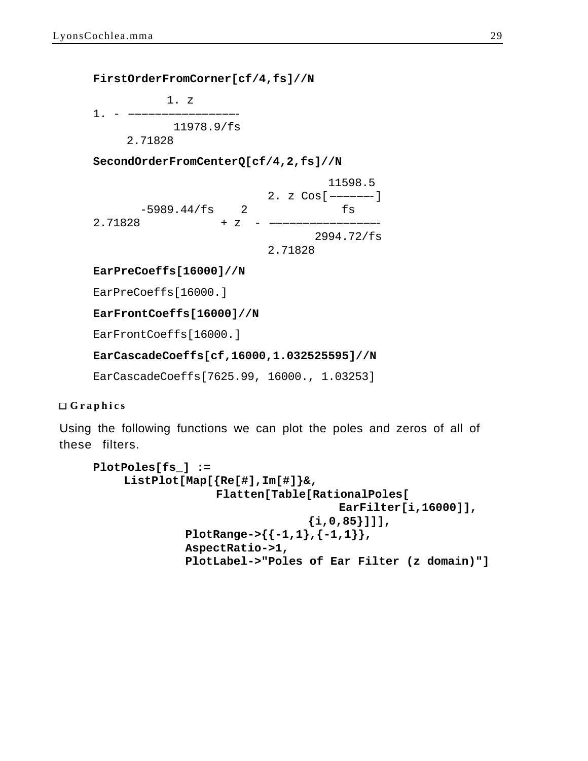**FirstOrderFromCorner[cf/4,fs]//N**

 1. z  $1. - -$  11978.9/fs 2.71828

**SecondOrderFromCenterQ[cf/4,2,fs]//N**

|               |      |  |         | 11598.5                  |
|---------------|------|--|---------|--------------------------|
|               |      |  |         | 2. $z \cos[\frac{1}{2}]$ |
| $-5989.44/fs$ | 2    |  |         | ts                       |
| 2.71828       | $+Z$ |  |         |                          |
|               |      |  |         | 2994.72/fs               |
|               |      |  | 2.71828 |                          |

**EarPreCoeffs[16000]//N**

EarPreCoeffs[16000.]

**EarFrontCoeffs[16000]//N**

EarFrontCoeffs[16000.]

#### **EarCascadeCoeffs[cf,16000,1.032525595]//N**

EarCascadeCoeffs[7625.99, 16000., 1.03253]

#### **Graphics**

Using the following functions we can plot the poles and zeros of all of these filters.

```
PlotPoles[fs_] :=
    ListPlot[Map[{Re[#],Im[#]}&,
                  Flatten[Table[RationalPoles[
                                    EarFilter[i,16000]],
                                {i,0,85}]]],
             PlotRange->{{-1,1},{-1,1}},
             AspectRatio->1,
             PlotLabel->"Poles of Ear Filter (z domain)"]
```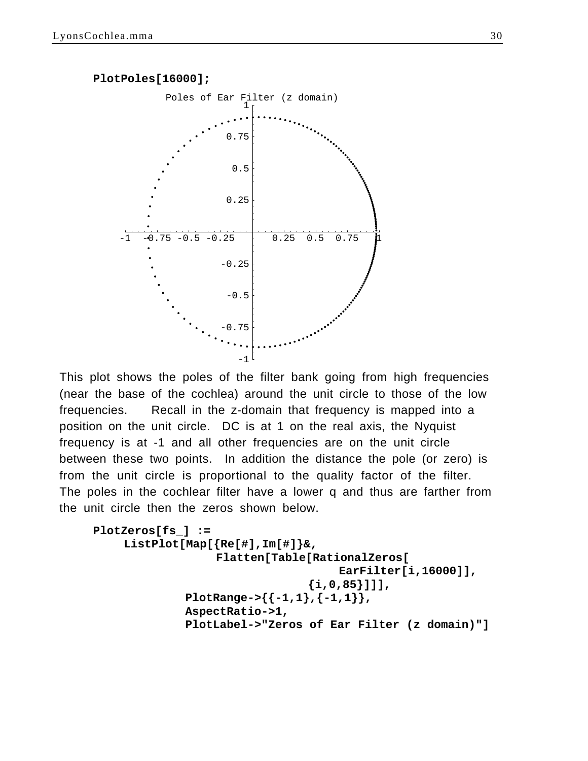

This plot shows the poles of the filter bank going from high frequencies (near the base of the cochlea) around the unit circle to those of the low frequencies. Recall in the z-domain that frequency is mapped into a position on the unit circle. DC is at 1 on the real axis, the Nyquist frequency is at -1 and all other frequencies are on the unit circle between these two points. In addition the distance the pole (or zero) is from the unit circle is proportional to the quality factor of the filter. The poles in the cochlear filter have a lower q and thus are farther from the unit circle then the zeros shown below.

```
PlotZeros[fs_] :=
    ListPlot[Map[{Re[#],Im[#]}&,
                  Flatten[Table[RationalZeros[
                                    EarFilter[i,16000]],
                                {i,0,85}]]],
             PlotRange->{{-1,1},{-1,1}},
             AspectRatio->1,
             PlotLabel->"Zeros of Ear Filter (z domain)"]
```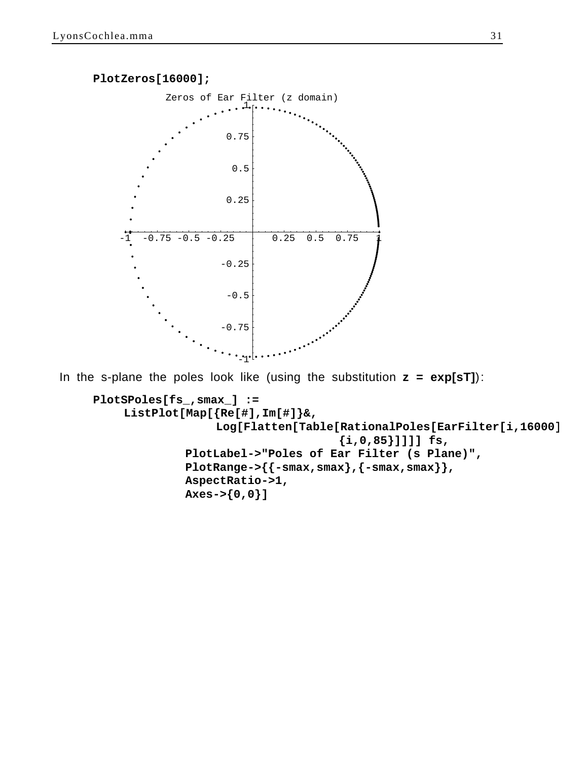

In the s-plane the poles look like (using the substitution **z = exp[sT]**):

```
PlotSPoles[fs_,smax_] :=
    ListPlot[Map[{Re[#],Im[#]}&,
                  Log[Flatten[Table[RationalPoles[EarFilter[i,16000]
                                    {i,0,85}]]]] fs,
             PlotLabel->"Poles of Ear Filter (s Plane)",
             PlotRange->{{-smax,smax},{-smax,smax}},
             AspectRatio->1,
             Axes->{0,0}]
```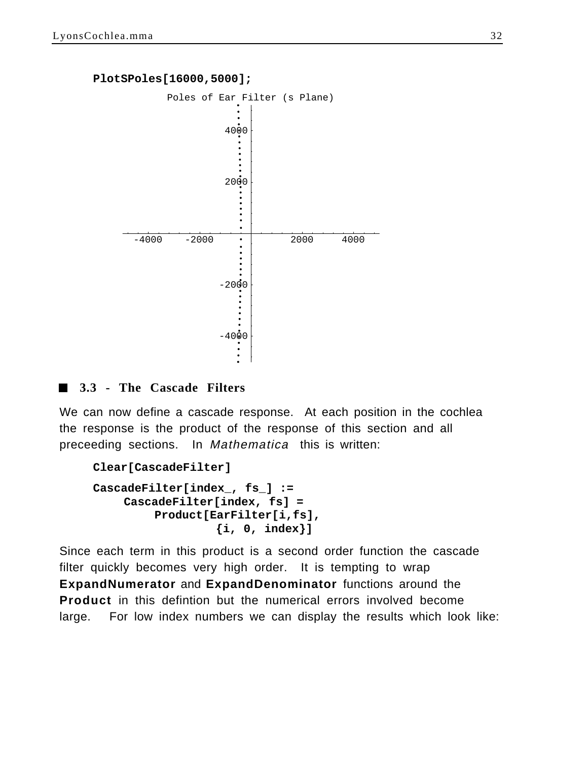#### **PlotSPoles[16000,5000];**



#### **3.3 - The Cascade Filters**

We can now define a cascade response. At each position in the cochlea the response is the product of the response of this section and all preceeding sections. In Mathematica this is written:

```
Clear[CascadeFilter]
```

```
CascadeFilter[index_, fs_] :=
    CascadeFilter[index, fs] = 
         Product[EarFilter[i,fs], 
                  {i, 0, index}]
```
Since each term in this product is a second order function the cascade filter quickly becomes very high order. It is tempting to wrap **ExpandNumerator** and **ExpandDenominator** functions around the **Product** in this defintion but the numerical errors involved become large. For low index numbers we can display the results which look like: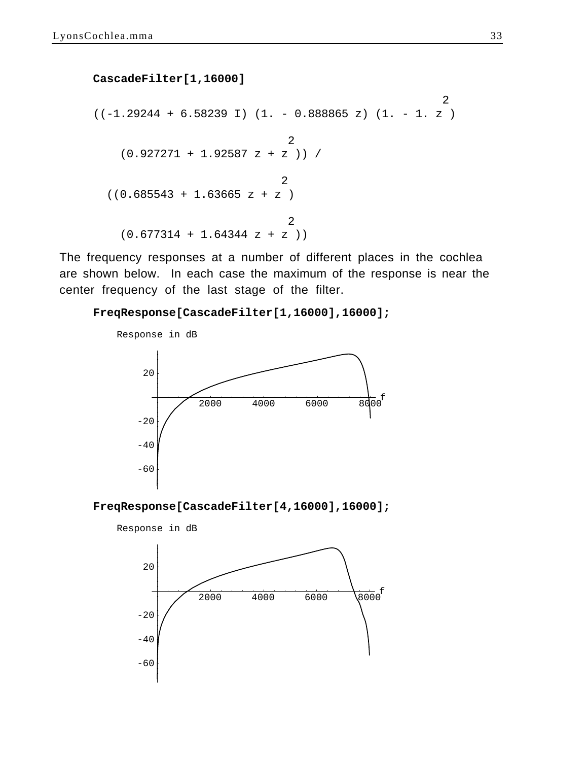#### **CascadeFilter[1,16000]**

```
 2
((-1.29244 + 6.58239 I) (1. - 0.888865 z) (1. - 1. z) 2
   (0.927271 + 1.92587 z + z )) / 
 2
 ((0.685543 + 1.63665 z + z)) 2
  (0.677314 + 1.64344 z + z)
```
The frequency responses at a number of different places in the cochlea are shown below. In each case the maximum of the response is near the center frequency of the last stage of the filter.

**FreqResponse[CascadeFilter[1,16000],16000];**





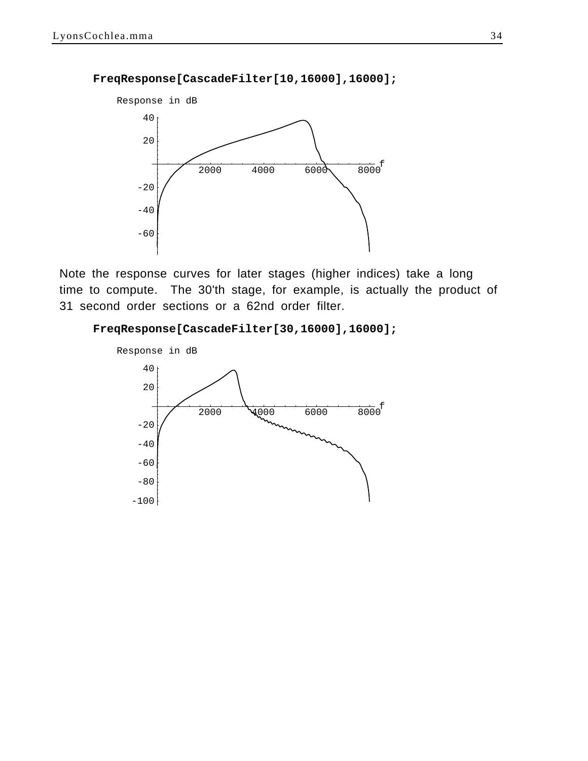#### **FreqResponse[CascadeFilter[10,16000],16000];**



Note the response curves for later stages (higher indices) take a long time to compute. The 30'th stage, for example, is actually the product of 31 second order sections or a 62nd order filter.

#### **FreqResponse[CascadeFilter[30,16000],16000];**

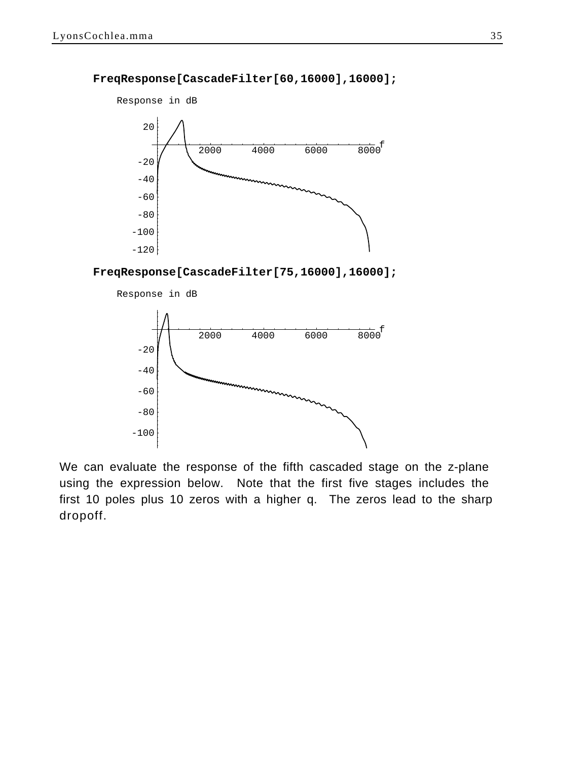

#### **FreqResponse[CascadeFilter[60,16000],16000];**

**FreqResponse[CascadeFilter[75,16000],16000];**



We can evaluate the response of the fifth cascaded stage on the z-plane using the expression below. Note that the first five stages includes the first 10 poles plus 10 zeros with a higher q. The zeros lead to the sharp dropoff.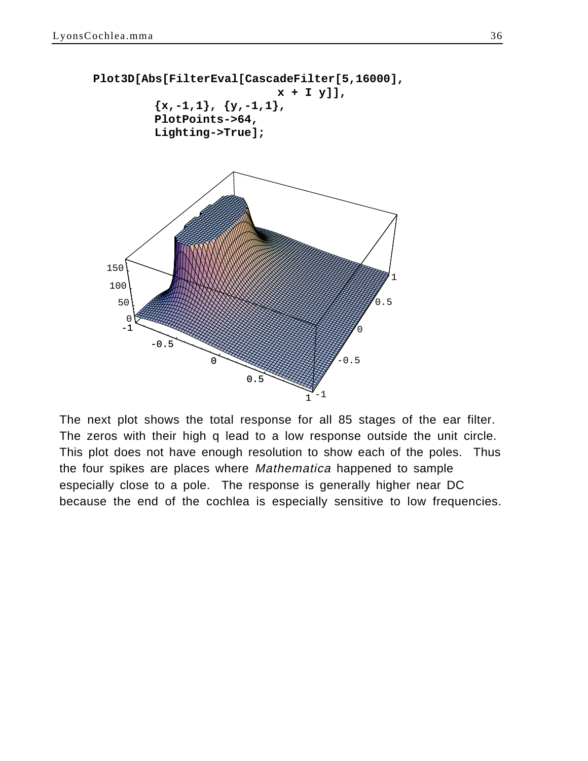

The next plot shows the total response for all 85 stages of the ear filter. The zeros with their high q lead to a low response outside the unit circle. This plot does not have enough resolution to show each of the poles. Thus the four spikes are places where Mathematica happened to sample especially close to a pole. The response is generally higher near DC because the end of the cochlea is especially sensitive to low frequencies.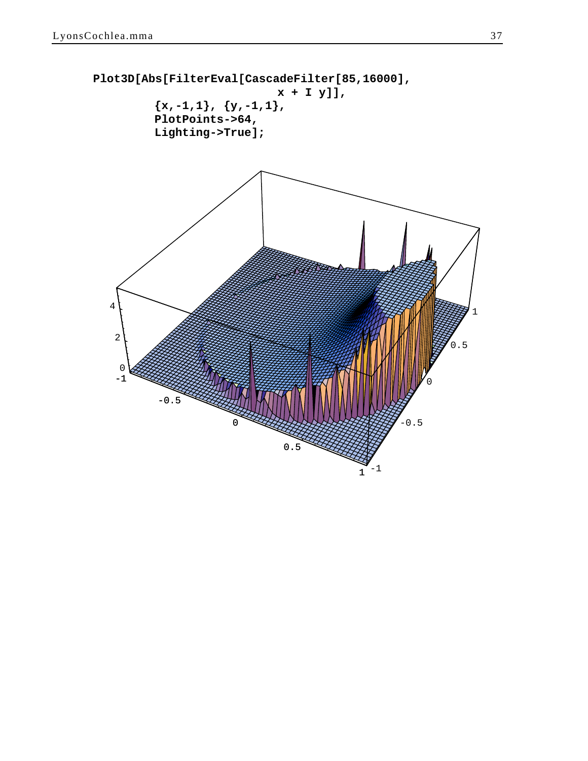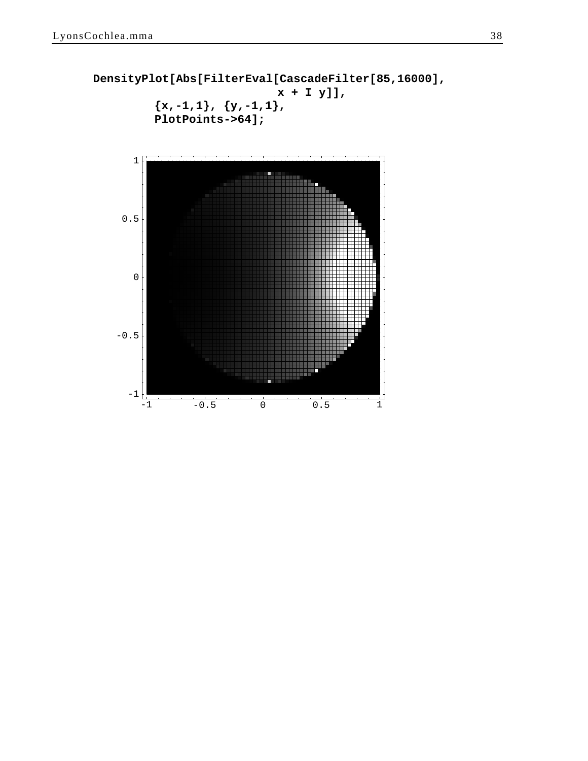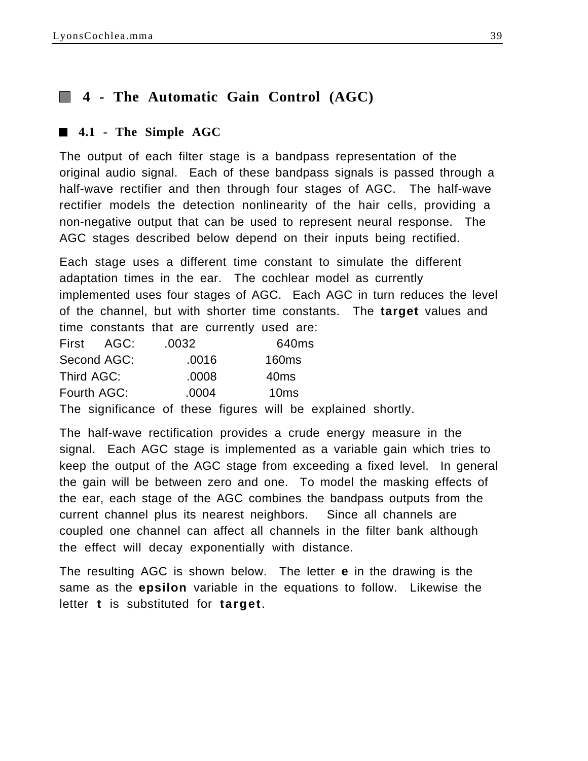# **4 - The Automatic Gain Control (AGC)**

# **4.1 - The Simple AGC**

The output of each filter stage is a bandpass representation of the original audio signal. Each of these bandpass signals is passed through a half-wave rectifier and then through four stages of AGC. The half-wave rectifier models the detection nonlinearity of the hair cells, providing a non-negative output that can be used to represent neural response. The AGC stages described below depend on their inputs being rectified.

Each stage uses a different time constant to simulate the different adaptation times in the ear. The cochlear model as currently implemented uses four stages of AGC. Each AGC in turn reduces the level of the channel, but with shorter time constants. The **target** values and time constants that are currently used are:

| First AGC:  | .0032 | 640 <sub>ms</sub> |  |
|-------------|-------|-------------------|--|
| Second AGC: | .0016 | 160 <sub>ms</sub> |  |
| Third AGC:  | .0008 | 40 <sub>ms</sub>  |  |
| Fourth AGC: | .0004 | 10 <sub>ms</sub>  |  |
|             |       |                   |  |

The significance of these figures will be explained shortly.

The half-wave rectification provides a crude energy measure in the signal. Each AGC stage is implemented as a variable gain which tries to keep the output of the AGC stage from exceeding a fixed level. In general the gain will be between zero and one. To model the masking effects of the ear, each stage of the AGC combines the bandpass outputs from the current channel plus its nearest neighbors. Since all channels are coupled one channel can affect all channels in the filter bank although the effect will decay exponentially with distance.

The resulting AGC is shown below. The letter **e** in the drawing is the same as the **epsilon** variable in the equations to follow. Likewise the letter **t** is substituted for **target**.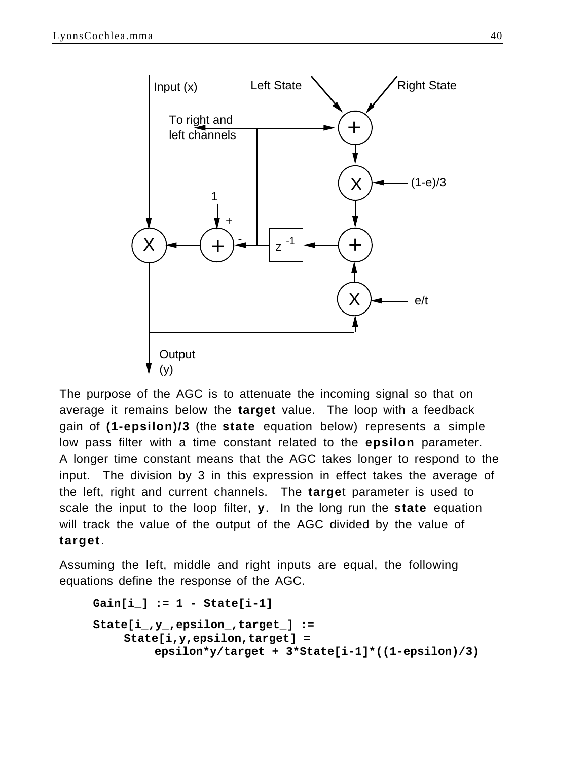

The purpose of the AGC is to attenuate the incoming signal so that on average it remains below the **target** value. The loop with a feedback gain of **(1-epsilon)/3** (the **state** equation below) represents a simple low pass filter with a time constant related to the **epsilon** parameter. A longer time constant means that the AGC takes longer to respond to the input. The division by 3 in this expression in effect takes the average of the left, right and current channels. The **targe**t parameter is used to scale the input to the loop filter, **y**. In the long run the **state** equation will track the value of the output of the AGC divided by the value of **target**.

Assuming the left, middle and right inputs are equal, the following equations define the response of the AGC.

```
Gain[i_] := 1 - State[i-1]
State[i_,y_,epsilon_,target_] := 
    State[i,y,epsilon,target] = 
         epsilon*y/target + 3*State[i-1]*((1-epsilon)/3)
```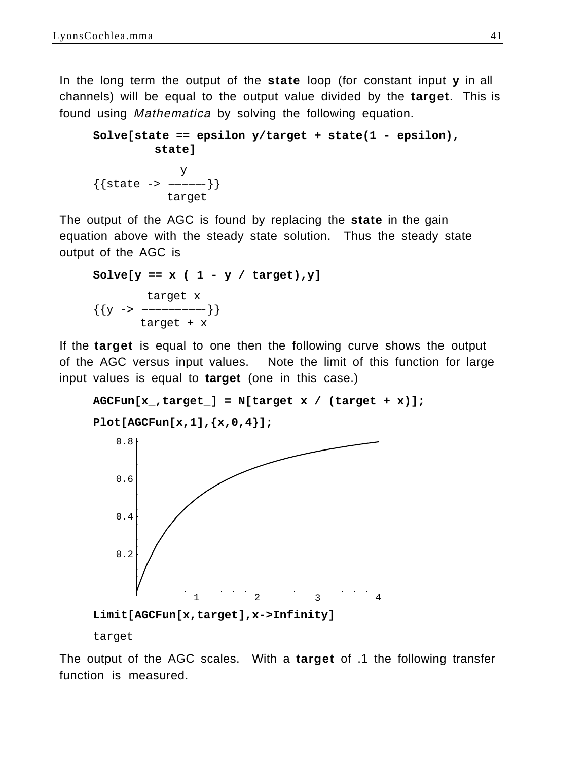In the long term the output of the **state** loop (for constant input **y** in all channels) will be equal to the output value divided by the **target**. This is found using Mathematica by solving the following equation.

```
Solve[state == epsilon y/target + state(1 - epsilon), 
       state]
 y
```

```
\{ \{\text{state -> ----}\}\} target
```
The output of the AGC is found by replacing the **state** in the gain equation above with the steady state solution. Thus the steady state output of the AGC is

```
Solve[y == x ( 1 - y / target), y] target x
\{\{y \rightarrow \ target + x
```
If the **target** is equal to one then the following curve shows the output of the AGC versus input values. Note the limit of this function for large input values is equal to **target** (one in this case.)

```
AGCFun[x_,target_] = N[target x / (target + x)];
```

```
Plot[AGCFun[x,1],{x,0,4}];
```


target

The output of the AGC scales. With a **target** of .1 the following transfer function is measured.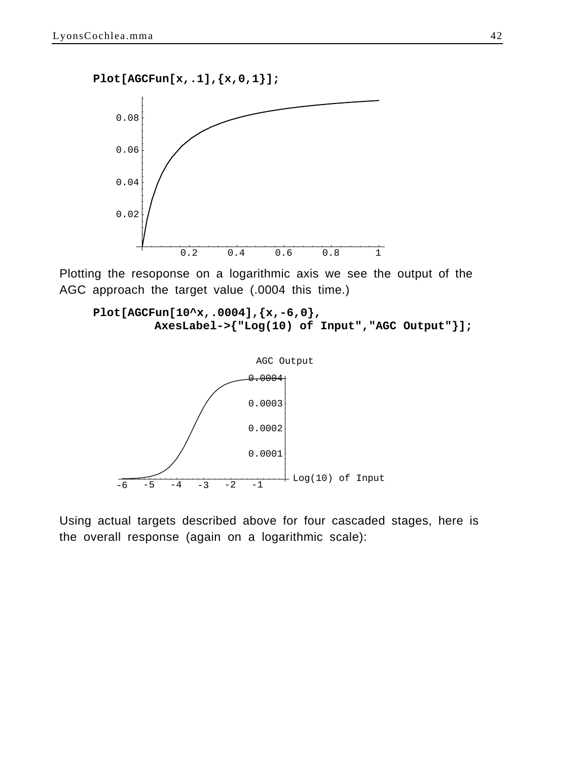**Plot[AGCFun[x,.1],{x,0,1}];**



Plotting the resoponse on a logarithmic axis we see the output of the AGC approach the target value (.0004 this time.)

```
Plot[AGCFun[10^x,.0004],{x,-6,0},
        AxesLabel->{"Log(10) of Input","AGC Output"}];
```


Using actual targets described above for four cascaded stages, here is the overall response (again on a logarithmic scale):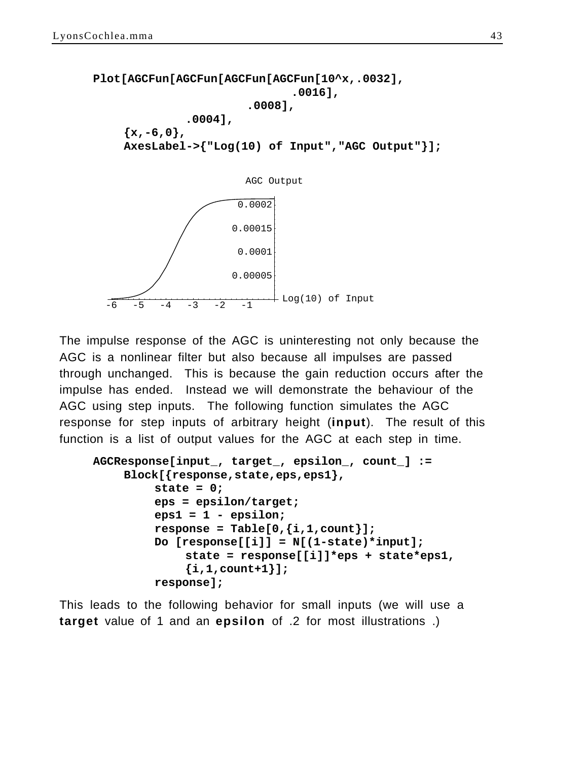```
Plot[AGCFun[AGCFun[AGCFun[AGCFun[10^x,.0032],
                                .0016],
                        .0008],
              .0004],
    {x,-6,0},
    AxesLabel->{"Log(10) of Input","AGC Output"}];
                     0.00015
                      0.0002AGC Output
```


The impulse response of the AGC is uninteresting not only because the AGC is a nonlinear filter but also because all impulses are passed through unchanged. This is because the gain reduction occurs after the impulse has ended. Instead we will demonstrate the behaviour of the AGC using step inputs. The following function simulates the AGC response for step inputs of arbitrary height (**input**). The result of this function is a list of output values for the AGC at each step in time.

```
AGCResponse[input_, target_, epsilon_, count_] :=
    Block[{response,state,eps,eps1},
         state = 0;
         eps = epsilon/target;
         eps1 = 1 - epsilon;
         response = Table[0,{i,1,count}];
         Do [response[[i]] = N[(1-state)*input];
             state = response[[i]]*eps + state*eps1,
             {i,1,count+1}];
         response];
```
This leads to the following behavior for small inputs (we will use a **target** value of 1 and an **epsilon** of .2 for most illustrations .)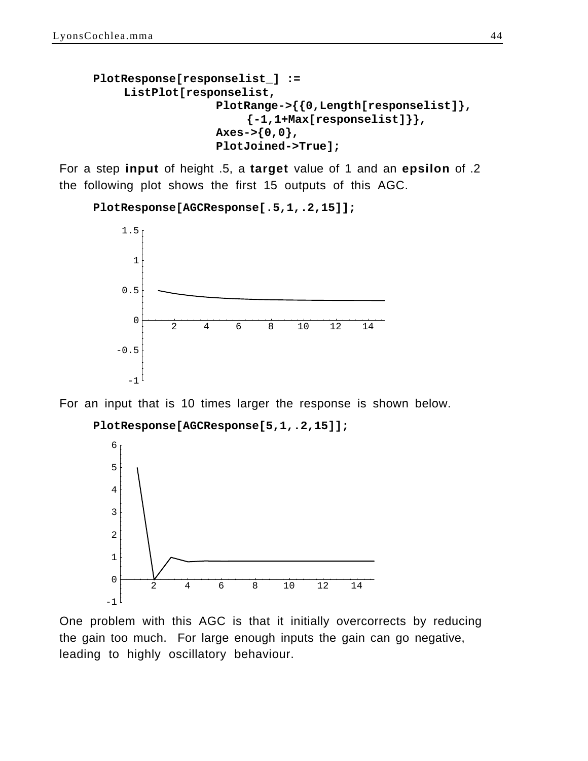```
PlotResponse[responselist_] :=
    ListPlot[responselist,
                  PlotRange->{{0,Length[responselist]},
                       {-1,1+Max[responselist]}},
                  Axes->{0,0},
                  PlotJoined->True];
```
For a step **input** of height .5, a **target** value of 1 and an **epsilon** of .2 the following plot shows the first 15 outputs of this AGC.

```
PlotResponse[AGCResponse[.5,1,.2,15]];
```


For an input that is 10 times larger the response is shown below.

**PlotResponse[AGCResponse[5,1,.2,15]];**



One problem with this AGC is that it initially overcorrects by reducing the gain too much. For large enough inputs the gain can go negative, leading to highly oscillatory behaviour.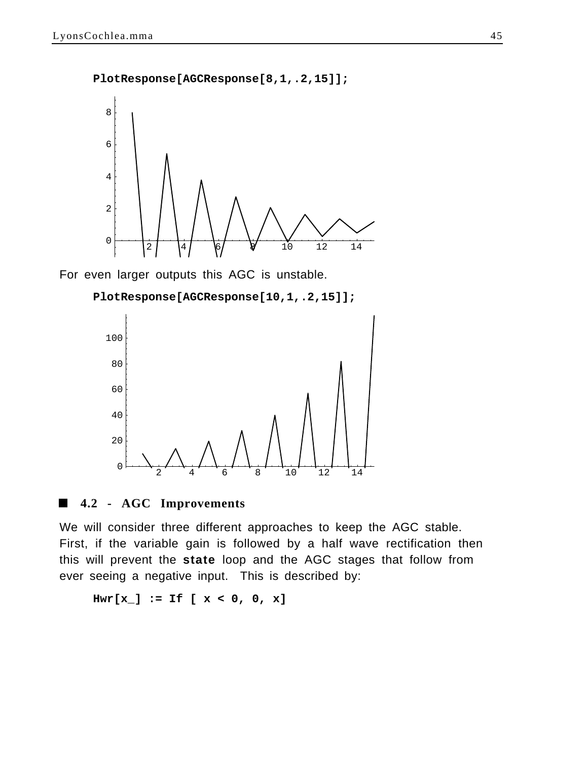**PlotResponse[AGCResponse[8,1,.2,15]];**



For even larger outputs this AGC is unstable.

**PlotResponse[AGCResponse[10,1,.2,15]];**



### **4.2 - AGC Improvements**

We will consider three different approaches to keep the AGC stable. First, if the variable gain is followed by a half wave rectification then this will prevent the **state** loop and the AGC stages that follow from ever seeing a negative input. This is described by:

**Hwr[x\_] := If [ x < 0, 0, x]**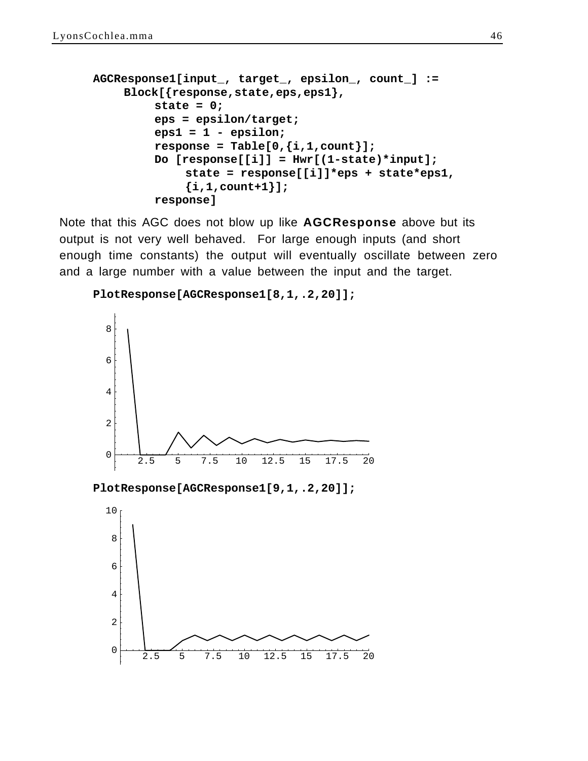```
AGCResponse1[input_, target_, epsilon_, count_] :=
    Block[{response,state,eps,eps1},
         state = 0;
         eps = epsilon/target;
         eps1 = 1 - epsilon;
         response = Table[0, {i, 1, count};
         Do [response[[i]] = Hwr[(1-state)*input];
              state = response[[i]]*eps + state*eps1,
              {i,1,count+1}];
         response]
```
Note that this AGC does not blow up like **AGCResponse** above but its output is not very well behaved. For large enough inputs (and short enough time constants) the output will eventually oscillate between zero and a large number with a value between the input and the target.

```
PlotResponse[AGCResponse1[8,1,.2,20]];
```




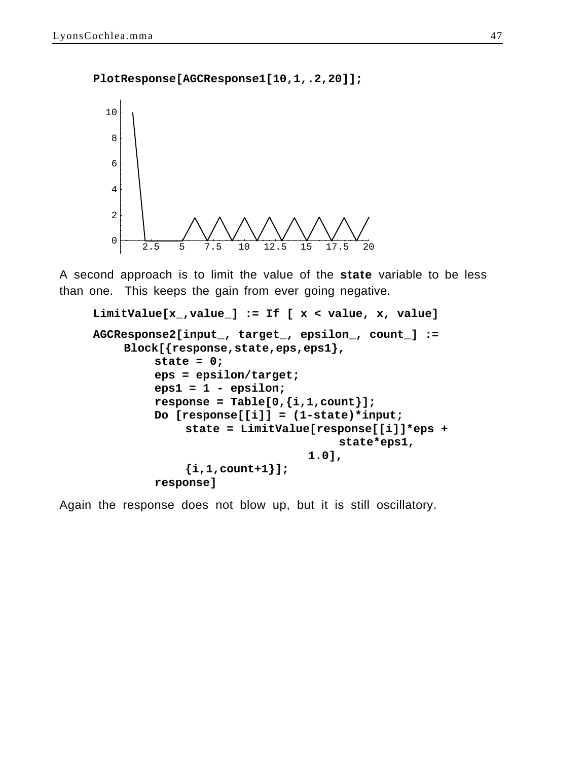**PlotResponse[AGCResponse1[10,1,.2,20]];**



A second approach is to limit the value of the **state** variable to be less than one. This keeps the gain from ever going negative.

```
LimitValue[x_,value_] := If [ x < value, x, value]
AGCResponse2[input_, target_, epsilon_, count_] :=
    Block[{response,state,eps,eps1},
         state = 0;
         eps = epsilon/target;
         eps1 = 1 - epsilon;
         response = Table[0,{i,1,count}];
         Do [response[[i]] = (1-state)*input;
             state = LimitValue[response[[i]]*eps + 
                                    state*eps1,
                                1.0],
             {i,1,count+1}];
         response]
```
Again the response does not blow up, but it is still oscillatory.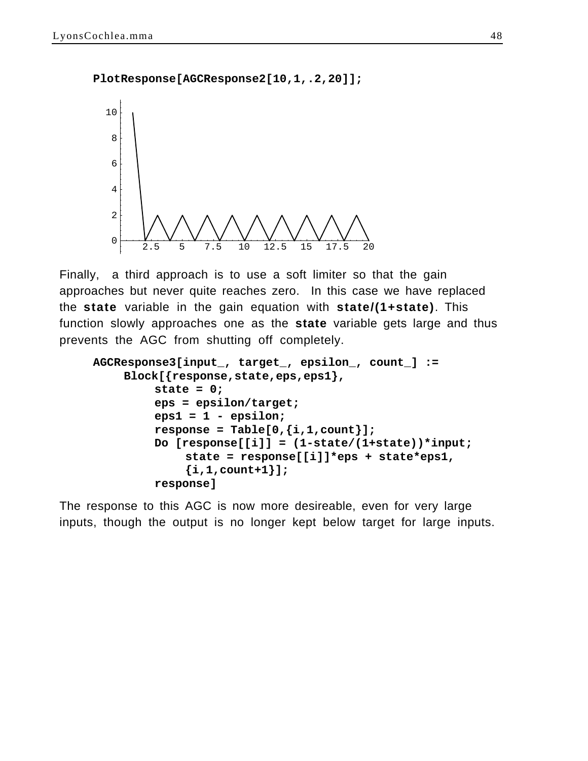**PlotResponse[AGCResponse2[10,1,.2,20]];**



Finally, a third approach is to use a soft limiter so that the gain approaches but never quite reaches zero. In this case we have replaced the **state** variable in the gain equation with **state/(1+state)**. This function slowly approaches one as the **state** variable gets large and thus prevents the AGC from shutting off completely.

```
AGCResponse3[input_, target_, epsilon_, count_] :=
    Block[{response,state,eps,eps1},
         state = 0;
         eps = epsilon/target;
         eps1 = 1 - epsilon;
         response = Table[0,{i,1,count}];
         Do [response[[i]] = (1-state/(1+state))*input;
             state = response[[i]]*eps + state*eps1,
             {i,1,count+1}];
         response]
```
The response to this AGC is now more desireable, even for very large inputs, though the output is no longer kept below target for large inputs.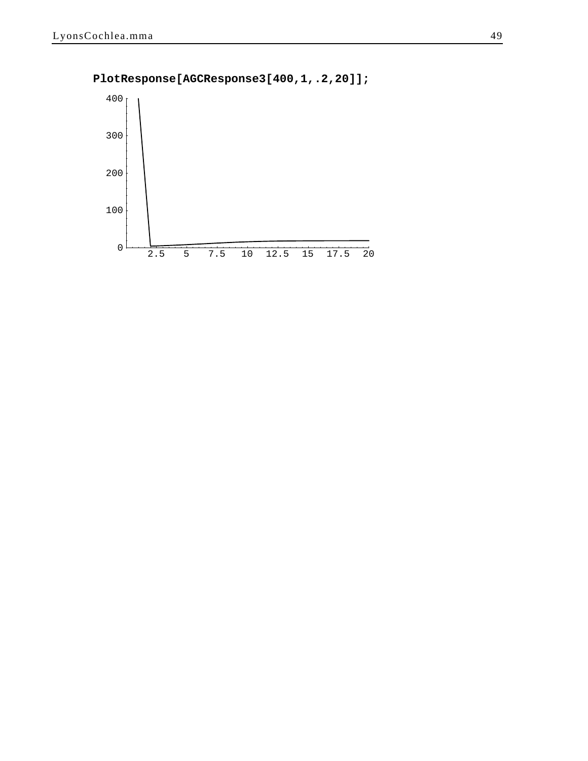

**PlotResponse[AGCResponse3[400,1,.2,20]];**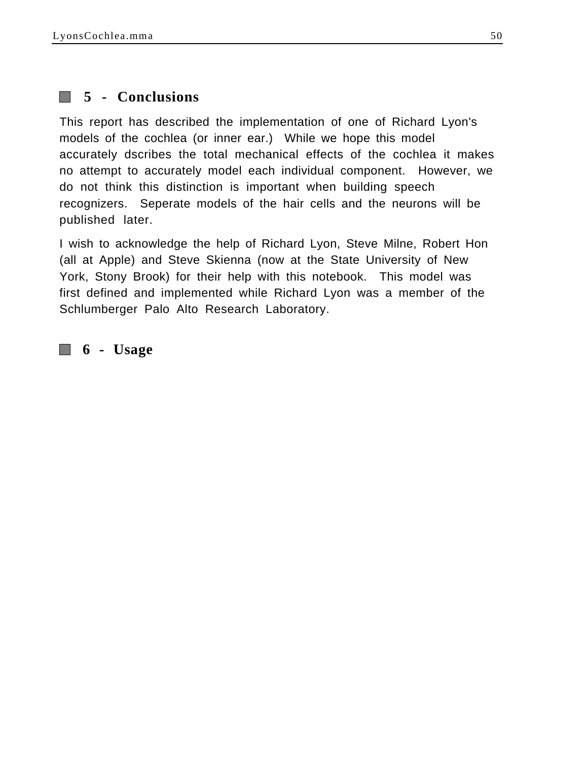# **5 - Conclusions**

This report has described the implementation of one of Richard Lyon's models of the cochlea (or inner ear.) While we hope this model accurately dscribes the total mechanical effects of the cochlea it makes no attempt to accurately model each individual component. However, we do not think this distinction is important when building speech recognizers. Seperate models of the hair cells and the neurons will be published later.

I wish to acknowledge the help of Richard Lyon, Steve Milne, Robert Hon (all at Apple) and Steve Skienna (now at the State University of New York, Stony Brook) for their help with this notebook. This model was first defined and implemented while Richard Lyon was a member of the Schlumberger Palo Alto Research Laboratory.

 **6 - Usage**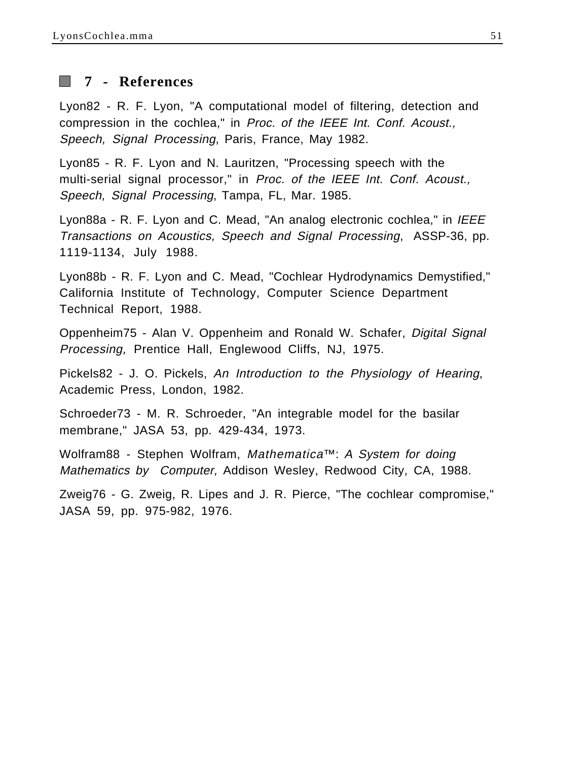

# **7 - References**

Lyon82 - R. F. Lyon, "A computational model of filtering, detection and compression in the cochlea," in Proc. of the IEEE Int. Conf. Acoust., Speech, Signal Processing, Paris, France, May 1982.

Lyon85 - R. F. Lyon and N. Lauritzen, "Processing speech with the multi-serial signal processor," in *Proc. of the IEEE Int. Conf. Acoust.*, Speech, Signal Processing, Tampa, FL, Mar. 1985.

Lyon88a - R. F. Lyon and C. Mead, "An analog electronic cochlea," in IEEE Transactions on Acoustics, Speech and Signal Processing, ASSP-36, pp. 1119-1134, July 1988.

Lyon88b - R. F. Lyon and C. Mead, "Cochlear Hydrodynamics Demystified," California Institute of Technology, Computer Science Department Technical Report, 1988.

Oppenheim75 - Alan V. Oppenheim and Ronald W. Schafer, Digital Signal Processing, Prentice Hall, Englewood Cliffs, NJ, 1975.

Pickels82 - J. O. Pickels, An Introduction to the Physiology of Hearing, Academic Press, London, 1982.

Schroeder73 - M. R. Schroeder, "An integrable model for the basilar membrane," JASA 53, pp. 429-434, 1973.

Wolfram88 - Stephen Wolfram, Mathematica™: A System for doing Mathematics by Computer, Addison Wesley, Redwood City, CA, 1988.

Zweig76 - G. Zweig, R. Lipes and J. R. Pierce, "The cochlear compromise," JASA 59, pp. 975-982, 1976.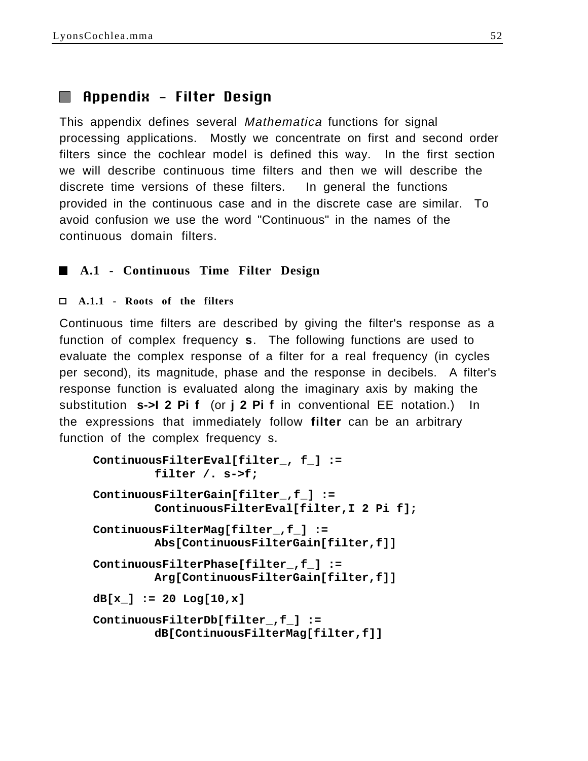# Appendix - Filter Design

This appendix defines several *Mathematica* functions for signal processing applications. Mostly we concentrate on first and second order filters since the cochlear model is defined this way. In the first section we will describe continuous time filters and then we will describe the discrete time versions of these filters. In general the functions provided in the continuous case and in the discrete case are similar. To avoid confusion we use the word "Continuous" in the names of the continuous domain filters.

## **A.1 - Continuous Time Filter Design**

### **A.1.1 - Roots of the filters**

Continuous time filters are described by giving the filter's response as a function of complex frequency **s**. The following functions are used to evaluate the complex response of a filter for a real frequency (in cycles per second), its magnitude, phase and the response in decibels. A filter's response function is evaluated along the imaginary axis by making the substitution **s->I 2 Pi f** (or **j 2 Pi f** in conventional EE notation.) In the expressions that immediately follow **filter** can be an arbitrary function of the complex frequency s.

```
ContinuousFilterEval[filter_, f_] :=
         filter /. s->f;
ContinuousFilterGain[filter_,f_] := 
         ContinuousFilterEval[filter,I 2 Pi f];
ContinuousFilterMag[filter_,f_] := 
         Abs[ContinuousFilterGain[filter,f]]
ContinuousFilterPhase[filter_,f_] := 
         Arg[ContinuousFilterGain[filter,f]]
dB[x_] := 20 Log[10,x]
ContinuousFilterDb[filter_,f_] := 
         dB[ContinuousFilterMag[filter,f]]
```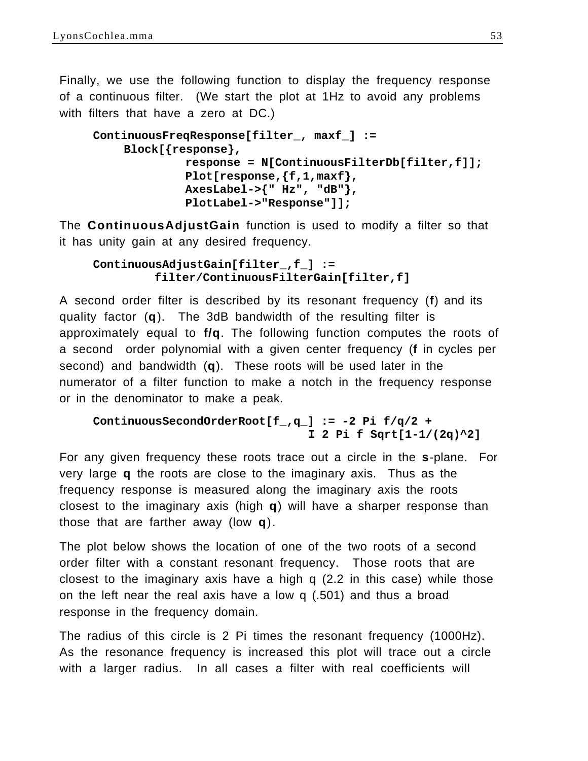Finally, we use the following function to display the frequency response of a continuous filter. (We start the plot at 1Hz to avoid any problems with filters that have a zero at DC.)

```
ContinuousFreqResponse[filter_, maxf_] :=
    Block[{response},
             response = N[ContinuousFilterDb[filter,f]];
             Plot[response,{f,1,maxf},
             AxesLabel->{" Hz", "dB"},
             PlotLabel->"Response"]];
```
The **ContinuousAdjustGain** function is used to modify a filter so that it has unity gain at any desired frequency.

```
ContinuousAdjustGain[filter_,f_] := 
         filter/ContinuousFilterGain[filter,f]
```
A second order filter is described by its resonant frequency (**f**) and its quality factor (**q**). The 3dB bandwidth of the resulting filter is approximately equal to **f/q**. The following function computes the roots of a second order polynomial with a given center frequency (**f** in cycles per second) and bandwidth (**q**). These roots will be used later in the numerator of a filter function to make a notch in the frequency response or in the denominator to make a peak.

```
ContinuousSecondOrderRoot[f_,q_] := -2 Pi f/q/2 + 
                                I 2 Pi f Sqrt[1-1/(2q)^2]
```
For any given frequency these roots trace out a circle in the **s**-plane. For very large **q** the roots are close to the imaginary axis. Thus as the frequency response is measured along the imaginary axis the roots closest to the imaginary axis (high **q**) will have a sharper response than those that are farther away (low **q**).

The plot below shows the location of one of the two roots of a second order filter with a constant resonant frequency. Those roots that are closest to the imaginary axis have a high q (2.2 in this case) while those on the left near the real axis have a low q (.501) and thus a broad response in the frequency domain.

The radius of this circle is 2 Pi times the resonant frequency (1000Hz). As the resonance frequency is increased this plot will trace out a circle with a larger radius. In all cases a filter with real coefficients will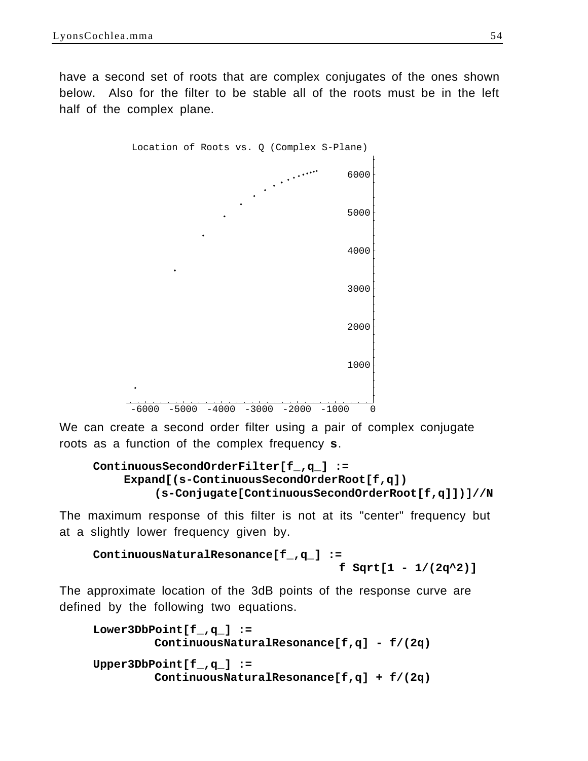have a second set of roots that are complex conjugates of the ones shown below. Also for the filter to be stable all of the roots must be in the left half of the complex plane.



We can create a second order filter using a pair of complex conjugate roots as a function of the complex frequency **s**.

```
ContinuousSecondOrderFilter[f_,q_] := 
    Expand[(s-ContinuousSecondOrderRoot[f,q])
         (s-Conjugate[ContinuousSecondOrderRoot[f,q]])]//N
```
The maximum response of this filter is not at its "center" frequency but at a slightly lower frequency given by.

```
ContinuousNaturalResonance[f_,q_] := 
                                     f Sqrt[1 - 1/(2q^2)]
```
The approximate location of the 3dB points of the response curve are defined by the following two equations.

```
Lower3DbPoint[f_,q_] := 
         ContinuousNaturalResonance[f,q] - f/(2q)
Upper3DbPoint[f_,q_] := 
         ContinuousNaturalResonance[f,q] + f/(2q)
```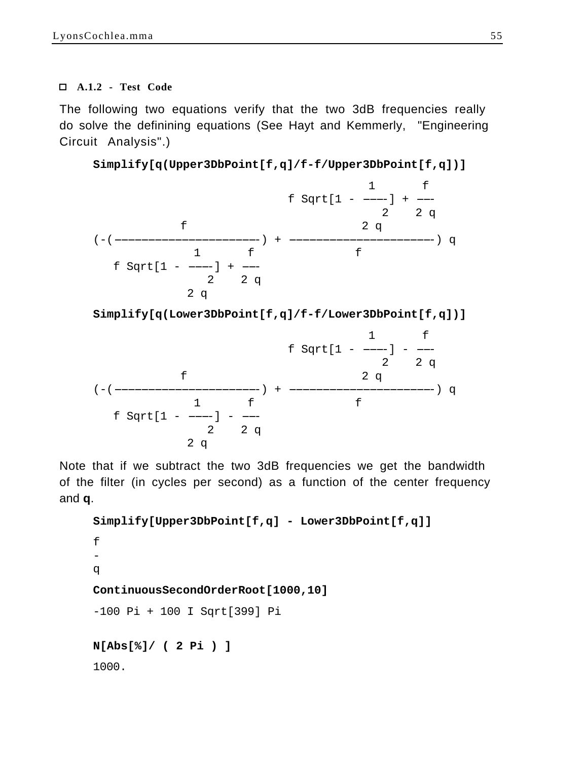### **A.1.2 - Test Code**

The following two equations verify that the two 3dB frequencies really do solve the definining equations (See Hayt and Kemmerly, "Engineering Circuit Analysis".)

```
Simplify[q(Upper3DbPoint[f,q]/f-f/Upper3DbPoint[f,q])]
```


**Simplify[q(Lower3DbPoint[f,q]/f-f/Lower3DbPoint[f,q])]**

$$
f \, \text{Sqrt}[1 - \frac{1}{2} - \frac{f}{2q}] - \frac{1}{2q}
$$
\n
$$
f \, \text{Sqrt}[1 - \frac{1}{2} - \frac{f}{2q}] + \frac{2f}{2q}
$$
\n
$$
f \, \text{Sqrt}[1 - \frac{1}{2} - \frac{f}{2q}] - \frac{1}{2q}
$$

Note that if we subtract the two 3dB frequencies we get the bandwidth of the filter (in cycles per second) as a function of the center frequency and **q**.

```
Simplify[Upper3DbPoint[f,q] - Lower3DbPoint[f,q]]
f
-
q
ContinuousSecondOrderRoot[1000,10]
-100 Pi + 100 I Sqrt[399] Pi
N[Abs[%]/ ( 2 Pi ) ]
1000.
```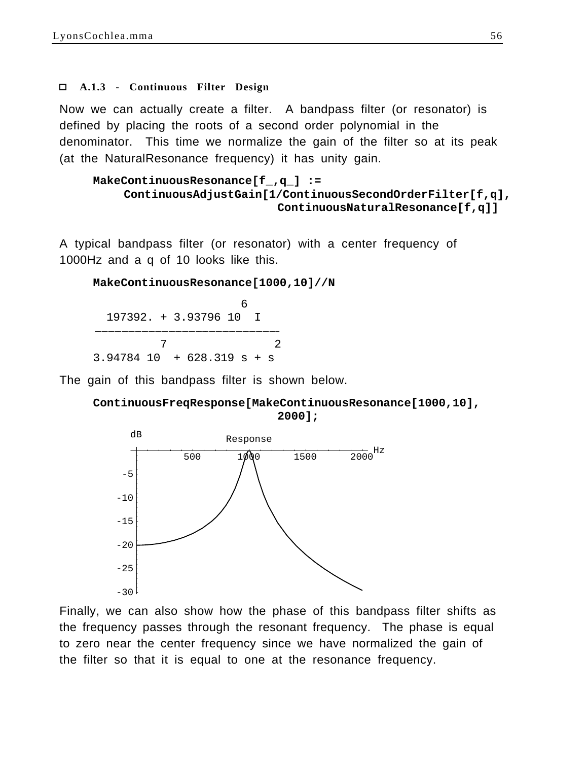#### **A.1.3 - Continuous Filter Design**

Now we can actually create a filter. A bandpass filter (or resonator) is defined by placing the roots of a second order polynomial in the denominator. This time we normalize the gain of the filter so at its peak (at the NaturalResonance frequency) it has unity gain.

```
MakeContinuousResonance[f_,q_] := 
    ContinuousAdjustGain[1/ContinuousSecondOrderFilter[f,q],
                           ContinuousNaturalResonance[f,q]]
```
A typical bandpass filter (or resonator) with a center frequency of 1000Hz and a q of 10 looks like this.

**MakeContinuousResonance[1000,10]//N**

 $\sim$  6 197392. + 3.93796 10 I ---------------------------- --------------------------- 7 2 3.94784 10 + 628.319 s + s

The gain of this bandpass filter is shown below.





Finally, we can also show how the phase of this bandpass filter shifts as the frequency passes through the resonant frequency. The phase is equal to zero near the center frequency since we have normalized the gain of the filter so that it is equal to one at the resonance frequency.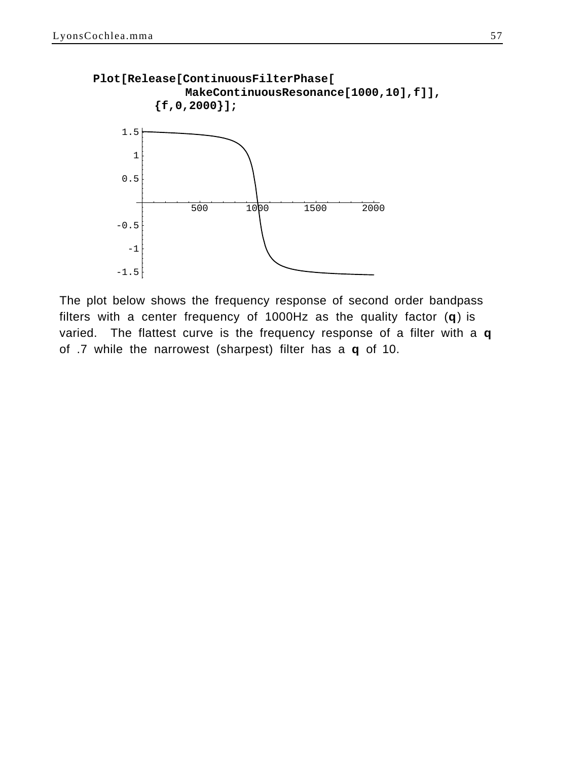

The plot below shows the frequency response of second order bandpass filters with a center frequency of 1000Hz as the quality factor (**q**) is varied. The flattest curve is the frequency response of a filter with a **q** of .7 while the narrowest (sharpest) filter has a **q** of 10.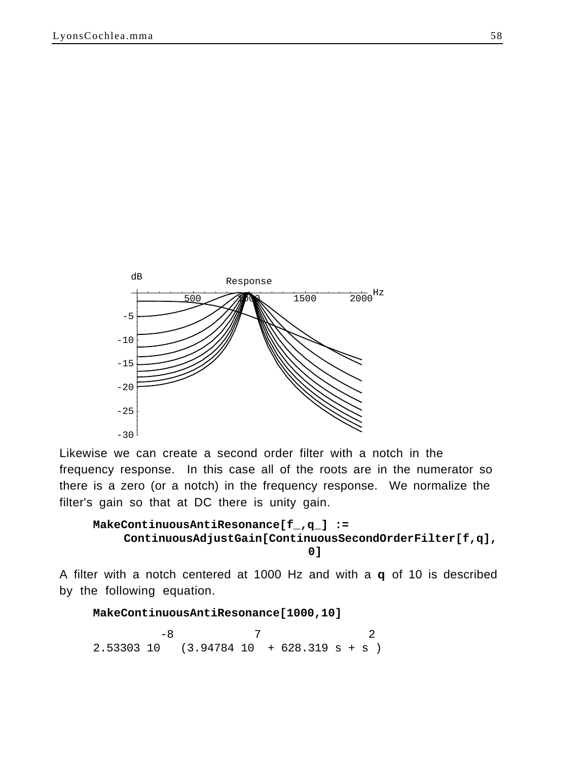

Likewise we can create a second order filter with a notch in the frequency response. In this case all of the roots are in the numerator so there is a zero (or a notch) in the frequency response. We normalize the filter's gain so that at DC there is unity gain.

```
MakeContinuousAntiResonance[f_,q_] := 
    ContinuousAdjustGain[ContinuousSecondOrderFilter[f,q],
                                0]
```
A filter with a notch centered at 1000 Hz and with a **q** of 10 is described by the following equation.

**MakeContinuousAntiResonance[1000,10]**

 $-8$  7 2 2.53303 10 (3.94784 10 + 628.319 s + s )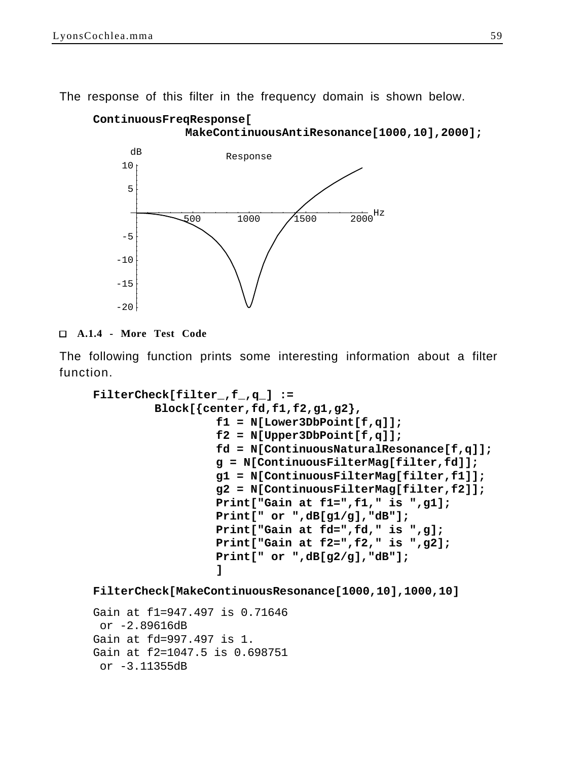The response of this filter in the frequency domain is shown below.

```
ContinuousFreqResponse[
             MakeContinuousAntiResonance[1000,10],2000];
```


### **A.1.4 - More Test Code**

The following function prints some interesting information about a filter function.

```
FilterCheck[filter_,f_,q_] :=
         Block[{center,fd,f1,f2,g1,g2},
                  f1 = N[Lower3DbPoint[f,q]];
                  f2 = N[Upper3DbPoint[f,q]];
                  fd = N[ContinuousNaturalResonance[f,q]];
                  g = N[ContinuousFilterMag[filter,fd]];
                  g1 = N[ContinuousFilterMag[filter,f1]];
                  g2 = N[ContinuousFilterMag[filter,f2]];
                  Print["Gain at f1=",f1," is ",g1];
                  Print[" or ",dB[g1/g],"dB"];
                  Print["Gain at fd=",fd," is ",g];
                  Print["Gain at f2=",f2," is ",g2];
                  Print[" or ",dB[g2/g],"dB"];
                  ]
FilterCheck[MakeContinuousResonance[1000,10],1000,10]
```

```
Gain at f1=947.497 is 0.71646
  or -2.89616dB
Gain at fd=997.497 is 1.
Gain at f2=1047.5 is 0.698751
  or -3.11355dB
```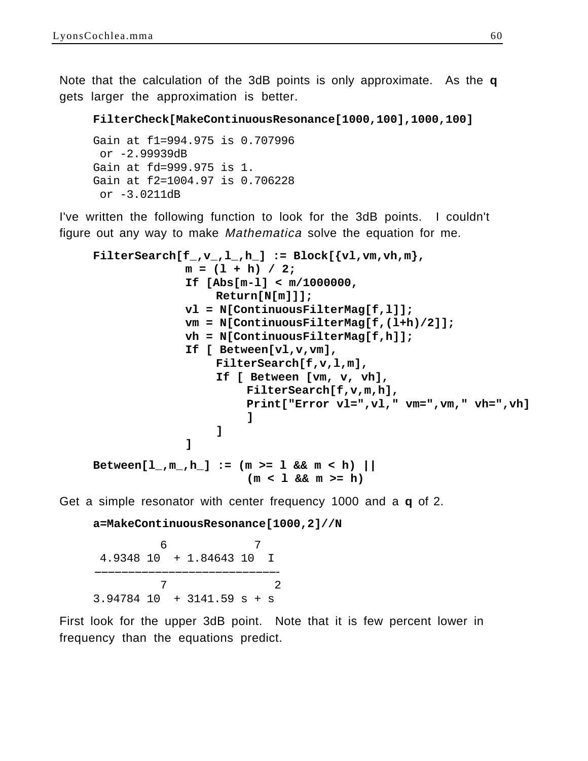Note that the calculation of the 3dB points is only approximate. As the **q** gets larger the approximation is better.

```
FilterCheck[MakeContinuousResonance[1000,100],1000,100]
```

```
Gain at f1=994.975 is 0.707996
  or -2.99939dB
Gain at fd=999.975 is 1.
Gain at f2=1004.97 is 0.706228
  or -3.0211dB
```
I've written the following function to look for the 3dB points. I couldn't figure out any way to make Mathematica solve the equation for me.

```
\texttt{FilterSearch}[f_, v_, l_, h'] := \text{Block}[\{vl, vw, vh, m\}, \text{and}m = (l + h) / 2;
              If [Abs[m-l] < m/1000000,
                   Return[N[m]]];
              vl = N[ContinuousFilterMag[f,l]];
              vm = N[ContinuousFilterMag[f,(l+h)/2]];
              vh = N[ContinuousFilterMag[f,h]];
              If [ Between[vl,v,vm], 
                   FilterSearch[f,v,l,m],
                   If [ Between [vm, v, vh],
                        FilterSearch[f,v,m,h],
                        Print["Error vl=",vl," vm=",vm," vh=",vh]
                         ]
                    ]
               ]
Between[l_,m_,h_] := (m >= l && m < h) || 
                         (m < l && m >= h)
```
Get a simple resonator with center frequency 1000 and a **q** of 2.

**a=MakeContinuousResonance[1000,2]//N**

 6 7 4.9348 10 + 1.84643 10 I ---------------------------- --------------------------- 7 2 3.94784 10 + 3141.59 s + s

First look for the upper 3dB point. Note that it is few percent lower in frequency than the equations predict.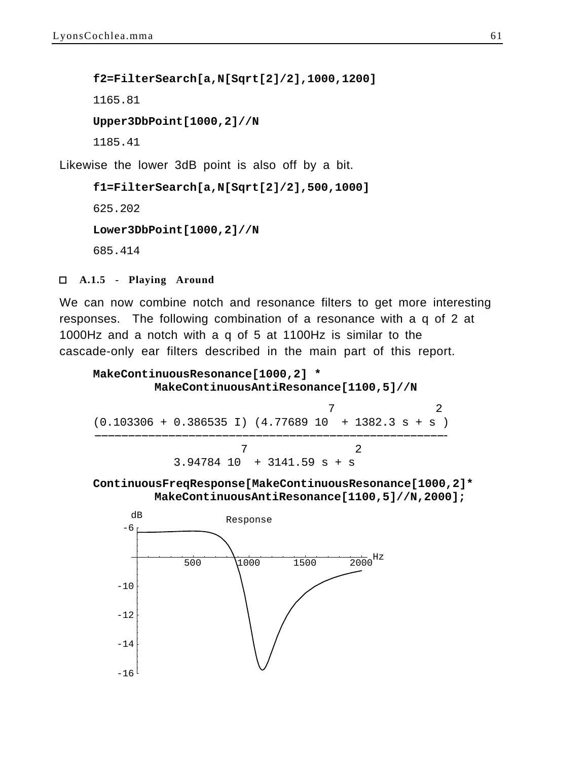**f2=FilterSearch[a,N[Sqrt[2]/2],1000,1200]** 1165.81 **Upper3DbPoint[1000,2]//N** 1185.41 Likewise the lower 3dB point is also off by a bit.

**f1=FilterSearch[a,N[Sqrt[2]/2],500,1000]** 625.202 **Lower3DbPoint[1000,2]//N** 685.414

 **A.1.5 - Playing Around**

We can now combine notch and resonance filters to get more interesting responses. The following combination of a resonance with a q of 2 at 1000Hz and a notch with a q of 5 at 1100Hz is similar to the cascade-only ear filters described in the main part of this report.

```
MakeContinuousResonance[1000,2] *
        MakeContinuousAntiResonance[1100,5]//N
 7 2
(0.103306 + 0.386535 I) (4.77689 10 + 1382.3 s + s)----------------------------------------------------- ---------------------------------------------------- 
 7 2
            3.94784 10 + 3141.59 s + s
```

```
ContinuousFreqResponse[MakeContinuousResonance[1000,2]*
        MakeContinuousAntiResonance[1100,5]//N,2000];
```
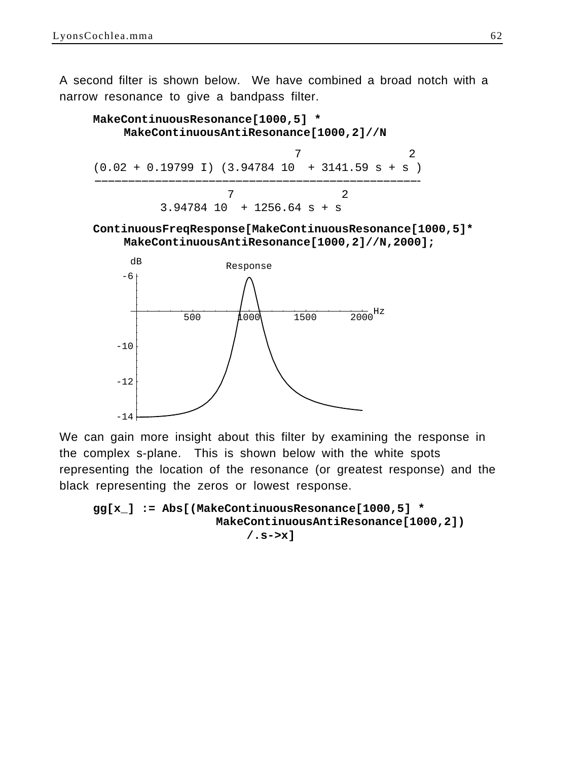A second filter is shown below. We have combined a broad notch with a narrow resonance to give a bandpass filter.



**ContinuousFreqResponse[MakeContinuousResonance[1000,5]\* MakeContinuousAntiResonance[1000,2]//N,2000];**



We can gain more insight about this filter by examining the response in the complex s-plane. This is shown below with the white spots representing the location of the resonance (or greatest response) and the black representing the zeros or lowest response.

```
gg[x_] := Abs[(MakeContinuousResonance[1000,5] *
                  MakeContinuousAntiResonance[1000,2])
                      /.s->x]
```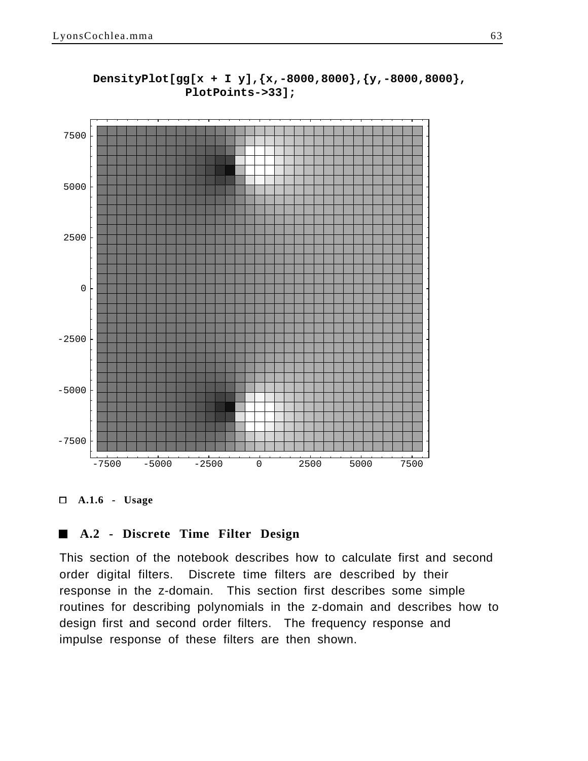

## **DensityPlot[gg[x + I y],{x,-8000,8000},{y,-8000,8000}, PlotPoints->33];**

 **A.1.6 - Usage**

### **A.2 - Discrete Time Filter Design**

This section of the notebook describes how to calculate first and second order digital filters. Discrete time filters are described by their response in the z-domain. This section first describes some simple routines for describing polynomials in the z-domain and describes how to design first and second order filters. The frequency response and impulse response of these filters are then shown.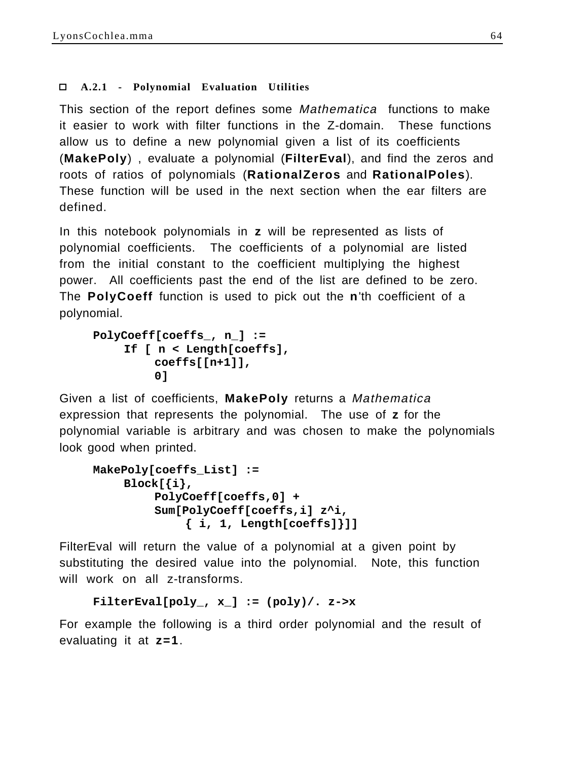# **A.2.1 - Polynomial Evaluation Utilities**

This section of the report defines some Mathematica functions to make it easier to work with filter functions in the Z-domain. These functions allow us to define a new polynomial given a list of its coefficients (**MakePoly**) , evaluate a polynomial (**FilterEval**), and find the zeros and roots of ratios of polynomials (**RationalZeros** and **RationalPoles**). These function will be used in the next section when the ear filters are defined.

In this notebook polynomials in **z** will be represented as lists of polynomial coefficients. The coefficients of a polynomial are listed from the initial constant to the coefficient multiplying the highest power. All coefficients past the end of the list are defined to be zero. The **PolyCoeff** function is used to pick out the **n**'th coefficient of a polynomial.

```
PolyCoeff[coeffs_, n_] :=
    If [ n < Length[coeffs],
         coeffs[[n+1]],
         0]
```
Given a list of coefficients, **MakePoly** returns a Mathematica expression that represents the polynomial. The use of **z** for the polynomial variable is arbitrary and was chosen to make the polynomials look good when printed.

```
MakePoly[coeffs_List] := 
    Block[{i},
         PolyCoeff[coeffs,0] + 
         Sum[PolyCoeff[coeffs,i] z^i,
              { i, 1, Length[coeffs]}]]
```
FilterEval will return the value of a polynomial at a given point by substituting the desired value into the polynomial. Note, this function will work on all z-transforms.

```
FilterEval[poly_, x_] := (poly)/. z->x
```
For example the following is a third order polynomial and the result of evaluating it at **z=1**.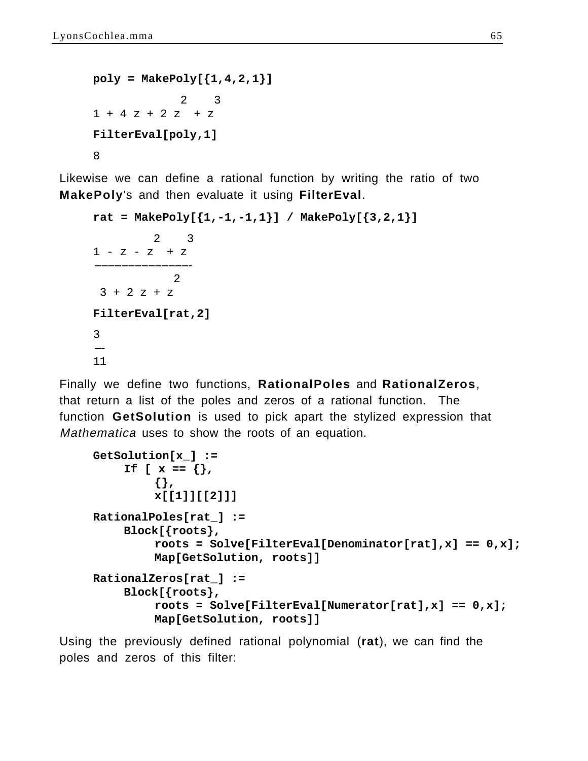```
poly = MakePoly[{1,4,2,1}] 2 3
1 + 4 z + 2 z + zFilterEval[poly,1]
8
```
Likewise we can define a rational function by writing the ratio of two **MakePoly**'s and then evaluate it using **FilterEval**.

```
rat = MakePoly[\{1,-1,-1,1\}] / MakePoly[\{3,2,1\}] 2 3
1 - z - z + z--------------- -------------- 
 2
 3 + 2 z + zFilterEval[rat,2]
3
--- 
11
```
Finally we define two functions, **RationalPoles** and **RationalZeros**, that return a list of the poles and zeros of a rational function. The function **GetSolution** is used to pick apart the stylized expression that Mathematica uses to show the roots of an equation.

```
GetSolution[x_] :=
    If [x == \{\},{},
         x[[1]][[2]]]
RationalPoles[rat_] :=
    Block[{roots},
         roots = Solve[FilterEval[Denominator[rat],x] == 0,x];
         Map[GetSolution, roots]]
RationalZeros[rat_] :=
    Block[{roots},
         roots = Solve[FilterEval[Numerator[rat],x] == 0,x];
         Map[GetSolution, roots]]
```
Using the previously defined rational polynomial (**rat**), we can find the poles and zeros of this filter: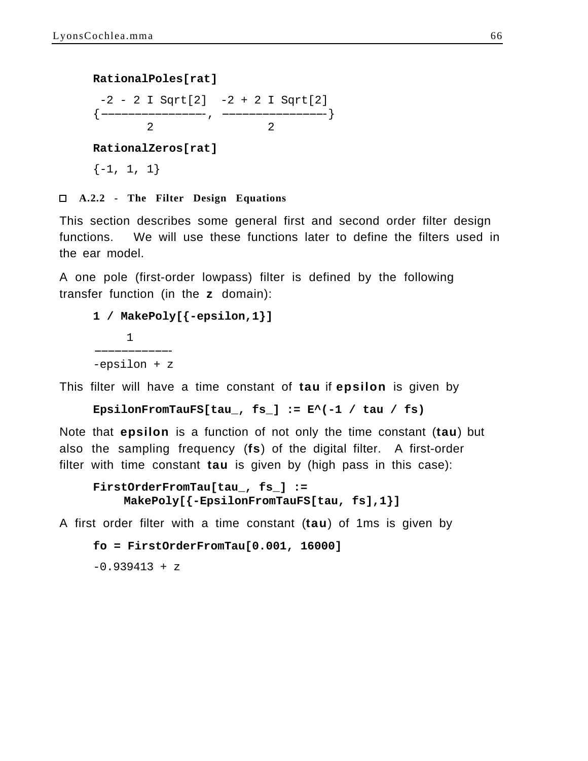#### **RationalPoles[rat]**

 $-2 - 2 I Sqrt[2] -2 + 2 I Sqrt[2]$  $\{\,\underline{\hspace{1cm}}\,\,$  ,  $\,\underline{\hspace{1cm}}\,\,$  ,  $\,\underline{\hspace{1cm}}\,\,$ 2 2

**RationalZeros[rat]**

 $\{-1, 1, 1\}$ 

 **A.2.2 - The Filter Design Equations**

This section describes some general first and second order filter design functions. We will use these functions later to define the filters used in the ear model.

A one pole (first-order lowpass) filter is defined by the following transfer function (in the **z** domain):

```
1 / MakePoly[{-epsilon,1}]
       1
------------ ----------- 
-epsilon + z
```
This filter will have a time constant of **tau** if **epsilon** is given by

**EpsilonFromTauFS[tau\_, fs\_] := E^(-1 / tau / fs)**

Note that **epsilon** is a function of not only the time constant (**tau**) but also the sampling frequency (**fs**) of the digital filter. A first-order filter with time constant **tau** is given by (high pass in this case):

```
FirstOrderFromTau[tau_, fs_] :=
    MakePoly[{-EpsilonFromTauFS[tau, fs],1}]
```
A first order filter with a time constant (**tau**) of 1ms is given by

```
fo = FirstOrderFromTau[0.001, 16000]
```
 $-0.939413 + z$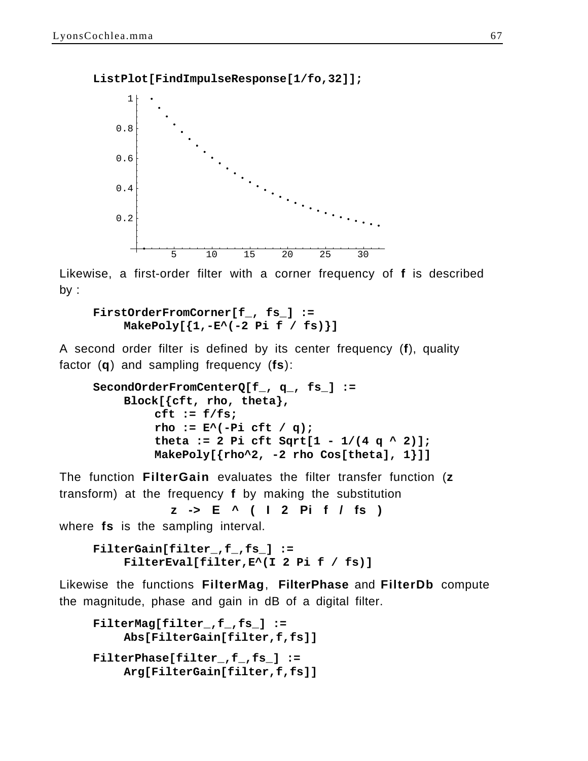**ListPlot[FindImpulseResponse[1/fo,32]];**



Likewise, a first-order filter with a corner frequency of **f** is described by :

```
FirstOrderFromCorner[f_, fs_] :=
    MakePoly[{1,-E^(-2 Pi f / fs)}]
```
A second order filter is defined by its center frequency (**f**), quality factor (**q**) and sampling frequency (**fs**):

```
SecondOrderFromCenterQ[f_, q_, fs_] :=
    Block[{cft, rho, theta},
         cft := f/fs;
         rho := E^(-Pi cft / q);
         theta := 2 Pi cft Sqrt[1 - 1/(4 q^2 2)];
         MakePoly[{rho^2, -2 rho Cos[theta], 1}]]
```
The function **FilterGain** evaluates the filter transfer function (**z** transform) at the frequency **f** by making the substitution

**z -> E ^ ( I 2 Pi f / fs )**

where **fs** is the sampling interval.

```
FilterGain[filter_,f_,fs_] :=
    FilterEval[filter,E^(I 2 Pi f / fs)]
```
Likewise the functions **FilterMag**, **FilterPhase** and **FilterDb** compute the magnitude, phase and gain in dB of a digital filter.

```
FilterMag[filter_,f_,fs_] := 
    Abs[FilterGain[filter,f,fs]]
FilterPhase[filter_,f_,fs_] := 
    Arg[FilterGain[filter,f,fs]]
```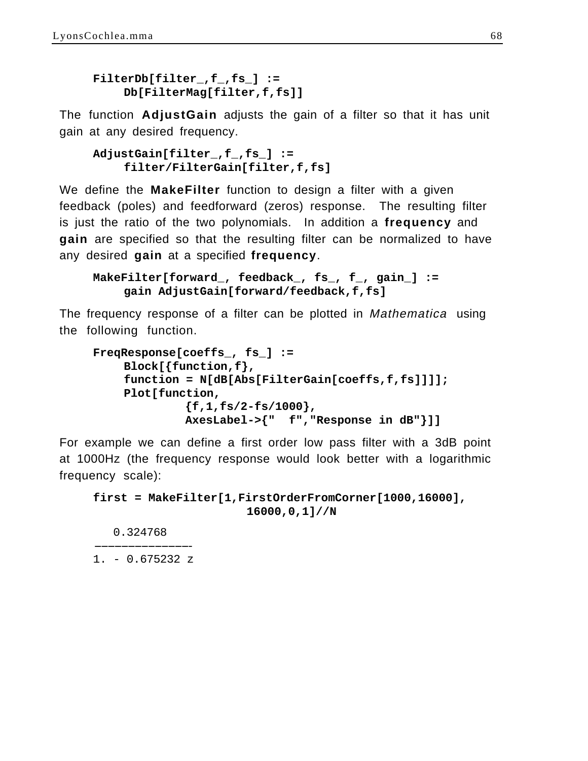```
FilterDb[filter_,f_,fs_] :=
    Db[FilterMag[filter,f,fs]]
```
The function **AdjustGain** adjusts the gain of a filter so that it has unit gain at any desired frequency.

```
AdjustGain[filter_,f_,fs_] :=
    filter/FilterGain[filter,f,fs]
```
We define the **MakeFilter** function to design a filter with a given feedback (poles) and feedforward (zeros) response. The resulting filter is just the ratio of the two polynomials. In addition a **frequency** and **gain** are specified so that the resulting filter can be normalized to have any desired **gain** at a specified **frequency**.

```
MakeFilter[forward_, feedback_, fs_, f_, gain_] :=
    gain AdjustGain[forward/feedback,f,fs]
```
The frequency response of a filter can be plotted in Mathematica using the following function.

```
FreqResponse[coeffs_, fs_] :=
    Block[{function,f},
    function = N[dB[Abs[FilterGain[coeffs,f,fs]]]];
    Plot[function,
             {f,1,fs/2-fs/1000},
             AxesLabel->{" f","Response in dB"}]]
```
For example we can define a first order low pass filter with a 3dB point at 1000Hz (the frequency response would look better with a logarithmic frequency scale):

```
first = MakeFilter[1,FirstOrderFromCorner[1000,16000],
                      16000,0,1]//N
```
0.324768

--------------- --------------  $1. - 0.675232 z$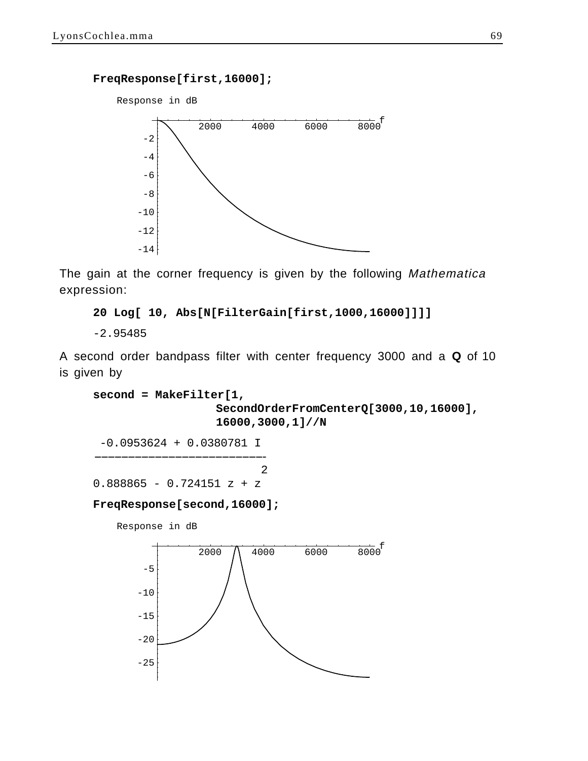**FreqResponse[first,16000];**



The gain at the corner frequency is given by the following Mathematica expression:

**20 Log[ 10, Abs[N[FilterGain[first,1000,16000]]]]**

-2.95485

A second order bandpass filter with center frequency 3000 and a **Q** of 10 is given by

```
second = MakeFilter[1,
                  SecondOrderFromCenterQ[3000,10,16000],
                  16000,3000,1]//N
```
 -0.0953624 + 0.0380781 I -------------------------- -------------------------

 2  $0.888865 - 0.724151 z + z$ 

#### **FreqResponse[second,16000];**

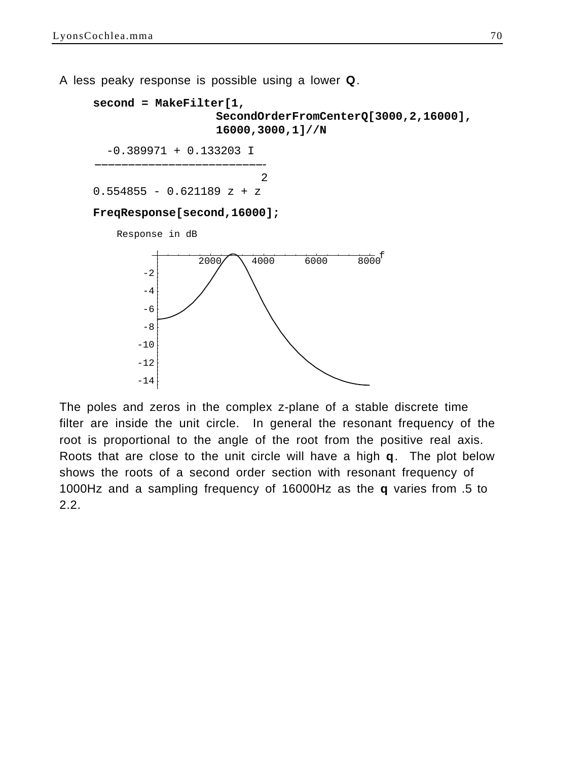$-14$ 

A less peaky response is possible using a lower **Q**.



The poles and zeros in the complex z-plane of a stable discrete time filter are inside the unit circle. In general the resonant frequency of the root is proportional to the angle of the root from the positive real axis. Roots that are close to the unit circle will have a high **q**. The plot below shows the roots of a second order section with resonant frequency of 1000Hz and a sampling frequency of 16000Hz as the **q** varies from .5 to 2.2.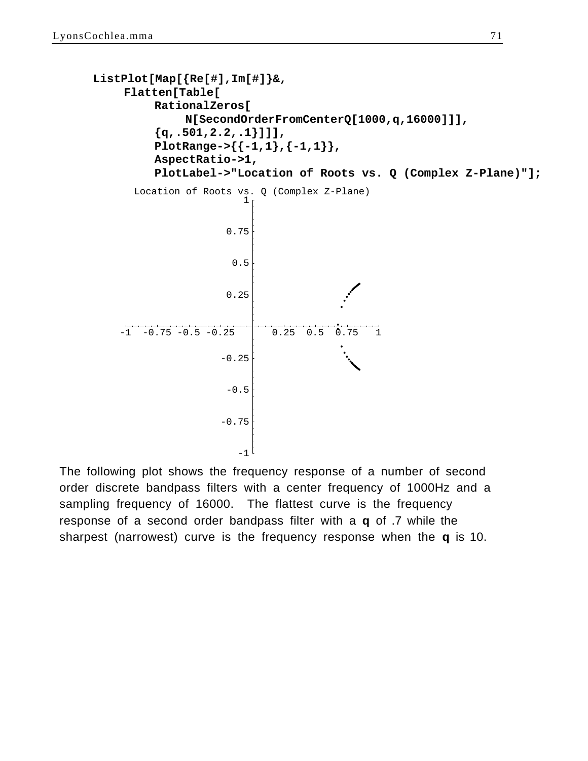```
ListPlot[Map[{Re[#],Im[#]}&,
     Flatten[Table[
         RationalZeros[
              N[SecondOrderFromCenterQ[1000,q,16000]]],
          {q,.501,2.2,.1}]]],
         PlotRange->{{-1,1},{-1,1}},
         AspectRatio->1,
          PlotLabel->"Location of Roots vs. Q (Complex Z-Plane)"];
    -1 -0.75 -0.5 -0.25 \qquad 0.25 0.5 0.75 1
      Location of Roots vs. Q (Complex Z-Plane)
                       -1<sup>[</sup>
                    -0.75-0.5-0.250.25
                      0.5
                     0.75
                        1
```
The following plot shows the frequency response of a number of second order discrete bandpass filters with a center frequency of 1000Hz and a sampling frequency of 16000. The flattest curve is the frequency response of a second order bandpass filter with a **q** of .7 while the sharpest (narrowest) curve is the frequency response when the **q** is 10.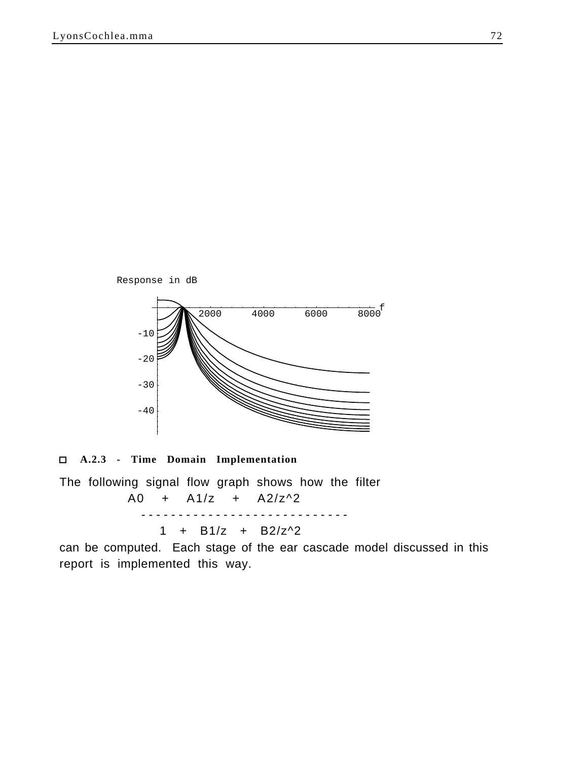

 **A.2.3 - Time Domain Implementation**

The following signal flow graph shows how the filter A0 + A1/z + A2/z^2 ---------------------------- 1 +  $B1/z$  +  $B2/z^2$ 

can be computed. Each stage of the ear cascade model discussed in this report is implemented this way.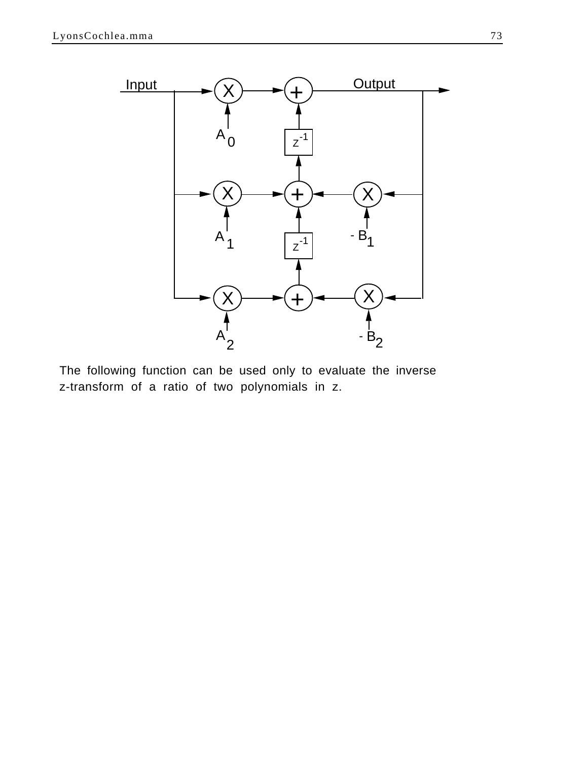

The following function can be used only to evaluate the inverse z-transform of a ratio of two polynomials in z.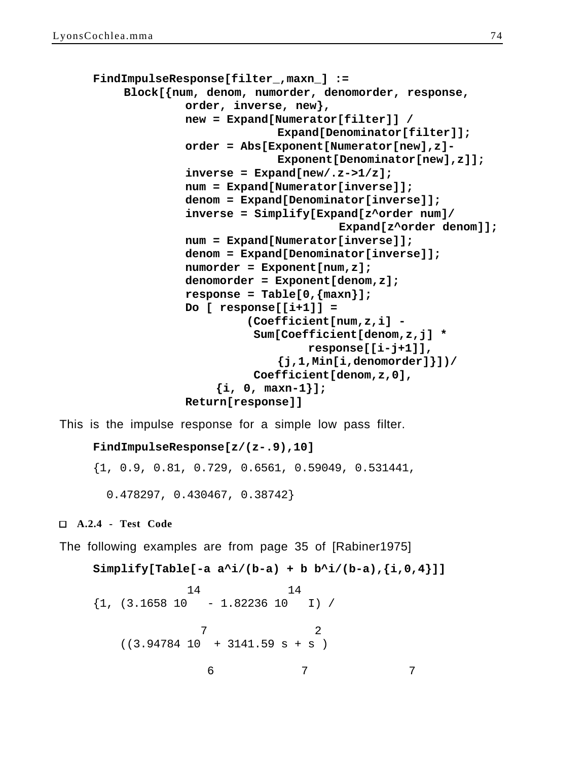```
FindImpulseResponse[filter_,maxn_] :=
    Block[{num, denom, numorder, denomorder, response,
             order, inverse, new},
             new = Expand[Numerator[filter]] /
                           Expand[Denominator[filter]];
             order = Abs[Exponent[Numerator[new],z]-
                           Exponent[Denominator[new],z]];
             inverse = Expand[new/.z->1/z];
             num = Expand[Numerator[inverse]];
             denom = Expand[Denominator[inverse]];
             inverse = Simplify[Expand[z^order num]/
                                    Expand[z^order denom]];
             num = Expand[Numerator[inverse]];
             denom = Expand[Denominator[inverse]];
             numorder = Exponent[num,z];
             denomorder = Exponent[denom,z];
             response = Table[0,{maxn}];
             Do [ response[[i+1]] = 
                       (Coefficient[num,z,i] - 
                        Sum[Coefficient[denom,z,j] *
                                response[[i-j+1]],
                           {j,1,Min[i,denomorder]}])/
                        Coefficient[denom,z,0],
                  {i, 0, maxn-1}];
             Return[response]]
```
This is the impulse response for a simple low pass filter.

```
FindImpulseResponse[z/(z-.9),10]
```
{1, 0.9, 0.81, 0.729, 0.6561, 0.59049, 0.531441,

0.478297, 0.430467, 0.38742}

 **A.2.4 - Test Code**

The following examples are from page 35 of [Rabiner1975]

```
Simplify[Table[-a a'^i/(b-a) + b b'^i/(b-a), {i, 0, 4}]] 14 14
\{1, (3.1658 \ 10 \ -1.82236 \ 10 \ 1) \} 7 2
  ((3.94784 10 + 3141.59 s + s) 6 7 7
```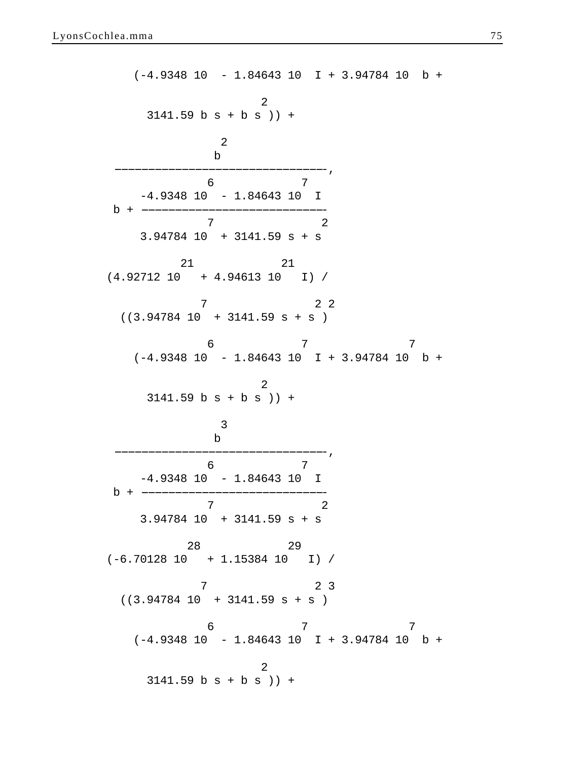(-4.9348 10 - 1.84643 10 I + 3.94784 10 b + 2  $3141.59$  b s + b s  $)$  + 2 b<sub>a</sub> barang dina barang dina barang dina barang dina barang dina barang dina barang dina barang dina barang dina b --------------------------------, ------------------------------- 6 7  $-4.9348$  10 - 1.84643 10 I  $b + -$  7 2 3.94784 10 + 3141.59 s + s 21 21 (4.92712 10 + 4.94613 10 I) / 7 2 2  $((3.94784 10 + 3141.59 s + s))$  6 7 7  $(-4.9348 \ 10 \ -1.84643 \ 10 \ \ I \ + \ 3.94784 \ 10 \ \ b \ +$  2  $3141.59$  b s + b s  $)$  + 3 b<sub>a</sub> barang dina barang dina barang dina barang dina barang dina barang dina barang dina barang dina barang dina b --------------------------------, ------------------------------- 6 7  $-4.9348$  10  $-1.84643$  10 I  $b + -$  7 2 3.94784 10 + 3141.59 s + s 28 29 (-6.70128 10 + 1.15384 10 I) / 7 2 3  $((3.94784 10 + 3141.59 s + s))$  6 7 7  $(-4.9348 \ 10 \ -1.84643 \ 10 \ \ I \ + \ 3.94784 \ 10 \ \ b \ +$  2  $3141.59$  b s + b s  $)$  +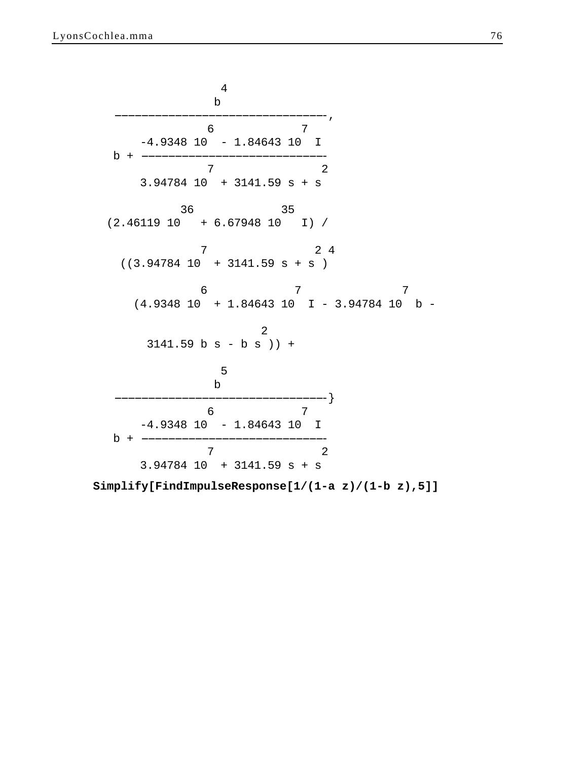4 b<sub>a</sub> barang dina barang dina barang dina barang dina barang dina barang dina barang dina barang dina barang dina b --------------------------------, ------------------------------- 6 7 -4.9348 10 - 1.84643 10 I  $b + -$  7 2 3.94784 10 + 3141.59 s + s 36 35 (2.46119 10 + 6.67948 10 I) / 7 2 4  $((3.94784 10 + 3141.59 s + s)$  6 7 7 (4.9348 10 + 1.84643 10 I - 3.94784 10 b - 2  $3141.59$  b s - b s  $)$  + 5 (1992) 1994 (1994) 1995 (1995) 1995 (1996) 1995 (1996) 1995 (1996) 1995 (1996) 1995 (1996) 1996 (1996) 1996 b<sub>a</sub> barang dina barang dina barang dina barang dina barang dina barang dina barang dina barang dina barang dina b --------------------------------} ------------------------------- 6 7 -4.9348 10 - 1.84643 10 I  $b + -$  7 2 3.94784 10 + 3141.59 s + s

**Simplify[FindImpulseResponse[1/(1-a z)/(1-b z),5]]**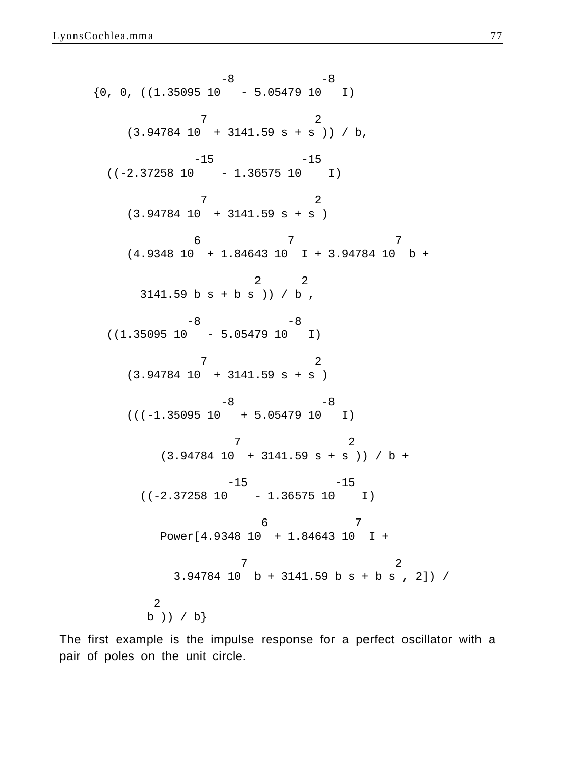$-8$   $-8$  $\{0, 0, ((1.35095 10 - 5.05479 10 I))\}$  7 2 (3.94784 10 + 3141.59 s + s )) / b,  $-15$   $-15$  $((-2.37258 10 - 1.36575 10 1))$  7 2  $(3.94784 10 + 3141.59 s + s)$  6 7 7 (4.9348 10 + 1.84643 10 I + 3.94784 10 b + 2 2  $3141.59$  b s + b s )) / b ,  $-8$   $-8$  $((1.35095 10 - 5.05479 10 I))$  7 2 (3.94784 10 + 3141.59 s + s )  $-8$   $-8$  $(((-1.35095 10 + 5.05479 10 1))$  7 2  $(3.94784 \ 10 \ + \ 3141.59 \ s + s)$  ) / b +  $-15$   $-15$  $((-2.37258 10 - 1.36575 10 1))$  6 7 Power[4.9348 10 + 1.84643 10 I + 7 2 3.94784 10 b + 3141.59 b s + b s , 2]) / 2 b )) / b}

The first example is the impulse response for a perfect oscillator with a pair of poles on the unit circle.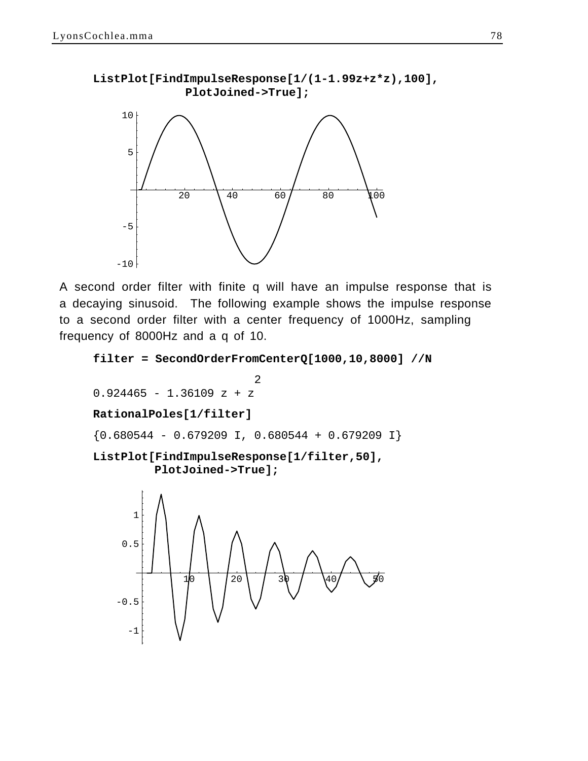

A second order filter with finite q will have an impulse response that is a decaying sinusoid. The following example shows the impulse response to a second order filter with a center frequency of 1000Hz, sampling frequency of 8000Hz and a q of 10.

```
filter = SecondOrderFromCenterQ[1000,10,8000] //N
```
 2  $0.924465 - 1.36109$  z + z

## **RationalPoles[1/filter]**

 ${0.680544 - 0.679209 \text{ I}, 0.680544 + 0.679209 \text{ I}}$ 

```
ListPlot[FindImpulseResponse[1/filter,50],
         PlotJoined->True];
```